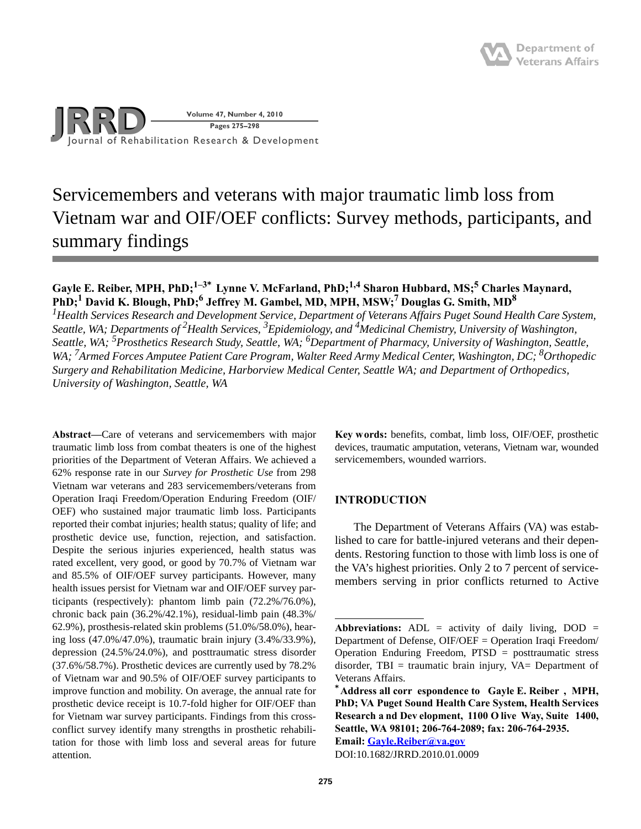

# Servicemembers and veterans with major traumatic limb loss from Vietnam war and OIF/OEF conflicts: Survey methods, participants, and summary findings

# **Gayle E. Reiber, MPH, PhD;1–3\* Lynne V. McFarland, PhD;1,4 Sharon Hubbard, MS;5 Charles Maynard,**  PhD;<sup>1</sup> David K. Blough, PhD;<sup>6</sup> Jeffrey M. Gambel, MD, MPH, MSW;<sup>7</sup> Douglas G. Smith, MD<sup>8</sup>

<sup>1</sup> Health Services Research and Development Service, Department of Veterans Affairs Puget Sound Health Care System, *Seattle, WA; Departments of 2 Health Services, 3 Epidemiology, and 4 Medicinal Chemistry, University of Washington, Seattle, WA; 5Prosthetics Research Study, Seattle, WA; 6 Department of Pharmacy, University of Washington, Seattle, WA; 7 Armed Forces Amputee Patient Care Program, Walter Reed Army Medical Center, Washington, DC; 8 Orthopedic Surgery and Rehabilitation Medicine, Harborview Medical Center, Seattle WA; and Department of Orthopedics, University of Washington, Seattle, WA*

**Abstract—**Care of veterans and servicemembers with major traumatic limb loss from combat theaters is one of the highest priorities of the Department of Veteran Affairs. We achieved a 62% response rate in our *Survey for Prosthetic Use* from 298 Vietnam war veterans and 283 servicemembers/veterans from Operation Iraqi Freedom/Operation Enduring Freedom (OIF/ OEF) who sustained major traumatic limb loss. Participants reported their combat injuries; health status; quality of life; and prosthetic device use, function, rejection, and satisfaction. Despite the serious injuries experienced, health status was rated excellent, very good, or good by 70.7% of Vietnam war and 85.5% of OIF/OEF survey participants. However, many health issues persist for Vietnam war and OIF/OEF survey participants (respectively): phantom limb pain (72.2%/76.0%), chronic back pain (36.2%/42.1%), residual-limb pain (48.3%/ 62.9%), prosthesis-related skin problems (51.0%/58.0%), hearing loss (47.0%/47.0%), traumatic brain injury (3.4%/33.9%), depression (24.5%/24.0%), and posttraumatic stress disorder (37.6%/58.7%). Prosthetic devices are currently used by 78.2% of Vietnam war and 90.5% of OIF/OEF survey participants to improve function and mobility. On average, the annual rate for prosthetic device receipt is 10.7-fold higher for OIF/OEF than for Vietnam war survey participants. Findings from this crossconflict survey identify many strengths in prosthetic rehabilitation for those with limb loss and several areas for future attention.

**Key words:** benefits, combat, limb loss, OIF/OEF, prosthetic devices, traumatic amputation, veterans, Vietnam war, wounded servicemembers, wounded warriors.

# **INTRODUCTION**

The Department of Veterans Affairs (VA) was established to care for battle-injured veterans and their dependents. Restoring function to those with limb loss is one of the VA's highest priorities. Only 2 to 7 percent of servicemembers serving in prior conflicts returned to Active

**Email: Gayle.Reiber@va.gov**

DOI:10.1682/JRRD.2010.01.0009

**Abbreviations:**  $ADL =$  activity of daily living,  $DOD =$ Department of Defense, OIF/OEF = Operation Iraqi Freedom/ Operation Enduring Freedom, PTSD = posttraumatic stress disorder,  $TBI = \text{tr}$  traumatic brain injury,  $VA = \text{Department of}$ Veterans Affairs.

**<sup>\*</sup>Address all corr espondence to Gayle E. Reiber , MPH, PhD; VA Puget Sound Health Care System, Health Services Research a nd Dev elopment, 1100 O live Way, Suite 1400, Seattle, WA 98101; 206-764-2089; fax: 206-764-2935.**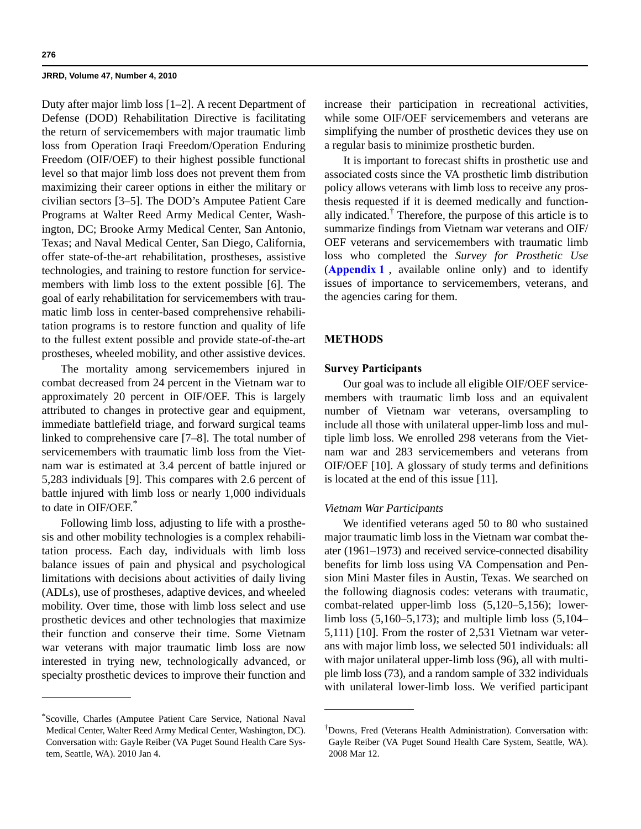Duty after major limb loss [1–2]. A recent Department of Defense (DOD) Rehabilitation Directive is facilitating the return of servicemembers with major traumatic limb loss from Operation Iraqi Freedom/Operation Enduring Freedom (OIF/OEF) to their highest possible functional level so that major limb loss does not prevent them from maximizing their career options in either the military or civilian sectors [3–5]. The DOD's Amputee Patient Care Programs at Walter Reed Army Medical Center, Washington, DC; Brooke Army Medical Center, San Antonio, Texas; and Naval Medical Center, San Diego, California, offer state-of-the-art rehabilitation, prostheses, assistive technologies, and training to restore function for servicemembers with limb loss to the extent possible [6]. The goal of early rehabilitation for servicemembers with traumatic limb loss in center-based comprehensive rehabilitation programs is to restore function and quality of life to the fullest extent possible and provide state-of-the-art prostheses, wheeled mobility, and other assistive devices.

The mortality among servicemembers injured in combat decreased from 24 percent in the Vietnam war to approximately 20 percent in OIF/OEF. This is largely attributed to changes in protective gear and equipment, immediate battlefield triage, and forward surgical teams linked to comprehensive care [7–8]. The total number of servicemembers with traumatic limb loss from the Vietnam war is estimated at 3.4 percent of battle injured or 5,283 individuals [9]. This compares with 2.6 percent of battle injured with limb loss or nearly 1,000 individuals to date in OIF/OEF.\*

Following limb loss, adjusting to life with a prosthesis and other mobility technologies is a complex rehabilitation process. Each day, individuals with limb loss balance issues of pain and physical and psychological limitations with decisions about activities of daily living (ADLs), use of prostheses, adaptive devices, and wheeled mobility. Over time, those with limb loss select and use prosthetic devices and other technologies that maximize their function and conserve their time. Some Vietnam war veterans with major traumatic limb loss are now interested in trying new, technologically advanced, or specialty prosthetic devices to improve their function and

increase their participation in recreational activities, while some OIF/OEF servicemembers and veterans are simplifying the number of prosthetic devices they use on a regular basis to minimize prosthetic burden.

It is important to forecast shifts in prosthetic use and associated costs since the VA prosthetic limb distribution policy allows veterans with limb loss to receive any prosthesis requested if it is deemed medically and functionally indicated.† Therefore, the purpose of this article is to summarize findings from Vietnam war veterans and OIF/ OEF veterans and servicemembers with traumatic limb loss who completed the *Survey for Prosthetic Use* (**[Appendix 1](prostheticssurvey.pdf)** , available online only) and to identify issues of importance to servicemembers, veterans, and the agencies caring for them.

# **METHODS**

# **Survey Participants**

Our goal was to include all eligible OIF/OEF servicemembers with traumatic limb loss and an equivalent number of Vietnam war veterans, oversampling to include all those with unilateral upper-limb loss and multiple limb loss. We enrolled 298 veterans from the Vietnam war and 283 servicemembers and veterans from OIF/OEF [10]. A glossary of study terms and definitions is located at the end of this issue [11].

### *Vietnam War Participants*

We identified veterans aged 50 to 80 who sustained major traumatic limb loss in the Vietnam war combat theater (1961–1973) and received service-connected disability benefits for limb loss using VA Compensation and Pension Mini Master files in Austin, Texas. We searched on the following diagnosis codes: veterans with traumatic, combat-related upper-limb loss (5,120–5,156); lowerlimb loss (5,160–5,173); and multiple limb loss (5,104– 5,111) [10]. From the roster of 2,531 Vietnam war veterans with major limb loss, we selected 501 individuals: all with major unilateral upper-limb loss (96), all with multiple limb loss (73), and a random sample of 332 individuals with unilateral lower-limb loss. We verified participant

<sup>\*</sup>Scoville, Charles (Amputee Patient Care Service, National Naval Medical Center, Walter Reed Army Medical Center, Washington, DC). Conversation with: Gayle Reiber (VA Puget Sound Health Care System, Seattle, WA). 2010 Jan 4.

<sup>†</sup>Downs, Fred (Veterans Health Administration). Conversation with: Gayle Reiber (VA Puget Sound Health Care System, Seattle, WA). 2008 Mar 12.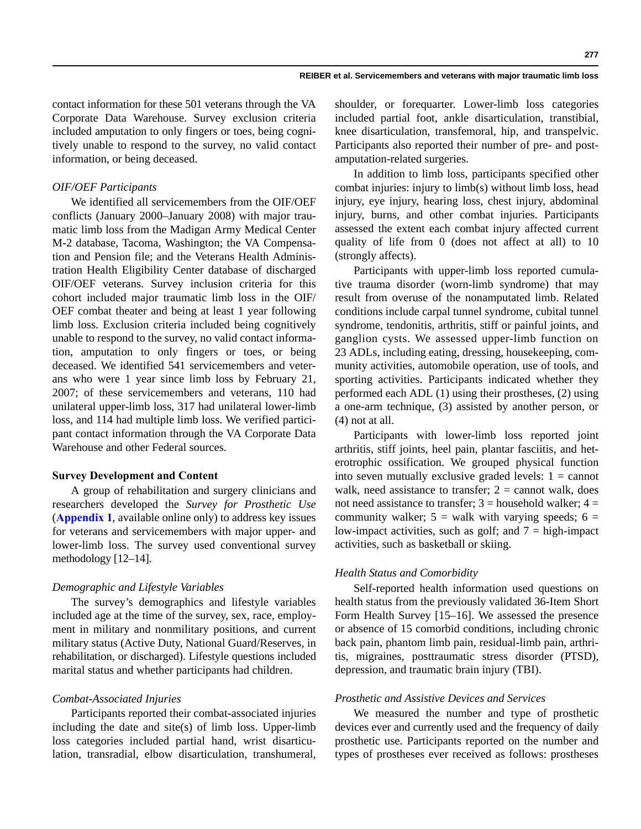contact information for these 501 veterans through the VA Corporate Data Warehouse. Survey exclusion criteria included amputation to only fingers or toes, being cognitively unable to respond to the survey, no valid contact information, or being deceased.

### *OIF/OEF Participants*

We identified all servicemembers from the OIF/OEF conflicts (January 2000–January 2008) with major traumatic limb loss from the Madigan Army Medical Center M-2 database, Tacoma, Washington; the VA Compensation and Pension file; and the Veterans Health Administration Health Eligibility Center database of discharged OIF/OEF veterans. Survey inclusion criteria for this cohort included major traumatic limb loss in the OIF/ OEF combat theater and being at least 1 year following limb loss. Exclusion criteria included being cognitively unable to respond to the survey, no valid contact information, amputation to only fingers or toes, or being deceased. We identified 541 servicemembers and veterans who were 1 year since limb loss by February 21, 2007; of these servicemembers and veterans, 110 had unilateral upper-limb loss, 317 had unilateral lower-limb loss, and 114 had multiple limb loss. We verified participant contact information through the VA Corporate Data Warehouse and other Federal sources.

# **Survey Development and Content**

A group of rehabilitation and surgery clinicians and researchers developed the *Survey for Prosthetic Use* (**[Appendix 1](prostheticssurvey.pdf)**, available online only) to address key issues for veterans and servicemembers with major upper- and lower-limb loss. The survey used conventional survey methodology [12–14].

# *Demographic and Lifestyle Variables*

The survey's demographics and lifestyle variables included age at the time of the survey, sex, race, employment in military and nonmilitary positions, and current military status (Active Duty, National Guard/Reserves, in rehabilitation, or discharged). Lifestyle questions included marital status and whether participants had children.

### *Combat-Associated Injuries*

Participants reported their combat-associated injuries including the date and site(s) of limb loss. Upper-limb loss categories included partial hand, wrist disarticulation, transradial, elbow disarticulation, transhumeral,

shoulder, or forequarter. Lower-limb loss categories included partial foot, ankle disarticulation, transtibial, knee disarticulation, transfemoral, hip, and transpelvic. Participants also reported their number of pre- and postamputation-related surgeries.

In addition to limb loss, participants specified other combat injuries: injury to limb(s) without limb loss, head injury, eye injury, hearing loss, chest injury, abdominal injury, burns, and other combat injuries. Participants assessed the extent each combat injury affected current quality of life from 0 (does not affect at all) to 10 (strongly affects).

Participants with upper-limb loss reported cumulative trauma disorder (worn-limb syndrome) that may result from overuse of the nonamputated limb. Related conditions include carpal tunnel syndrome, cubital tunnel syndrome, tendonitis, arthritis, stiff or painful joints, and ganglion cysts. We assessed upper-limb function on 23 ADLs, including eating, dressing, housekeeping, community activities, automobile operation, use of tools, and sporting activities. Participants indicated whether they performed each ADL (1) using their prostheses, (2) using a one-arm technique, (3) assisted by another person, or (4) not at all.

Participants with lower-limb loss reported joint arthritis, stiff joints, heel pain, plantar fasciitis, and heterotrophic ossification. We grouped physical function into seven mutually exclusive graded levels:  $1 =$  cannot walk, need assistance to transfer;  $2 =$  cannot walk, does not need assistance to transfer;  $3 =$  household walker;  $4 =$ community walker;  $5 =$  walk with varying speeds;  $6 =$ low-impact activities, such as golf; and  $7 =$  high-impact activities, such as basketball or skiing.

### *Health Status and Comorbidity*

Self-reported health information used questions on health status from the previously validated 36-Item Short Form Health Survey [15–16]. We assessed the presence or absence of 15 comorbid conditions, including chronic back pain, phantom limb pain, residual-limb pain, arthritis, migraines, posttraumatic stress disorder (PTSD), depression, and traumatic brain injury (TBI).

# *Prosthetic and Assistive Devices and Services*

We measured the number and type of prosthetic devices ever and currently used and the frequency of daily prosthetic use. Participants reported on the number and types of prostheses ever received as follows: prostheses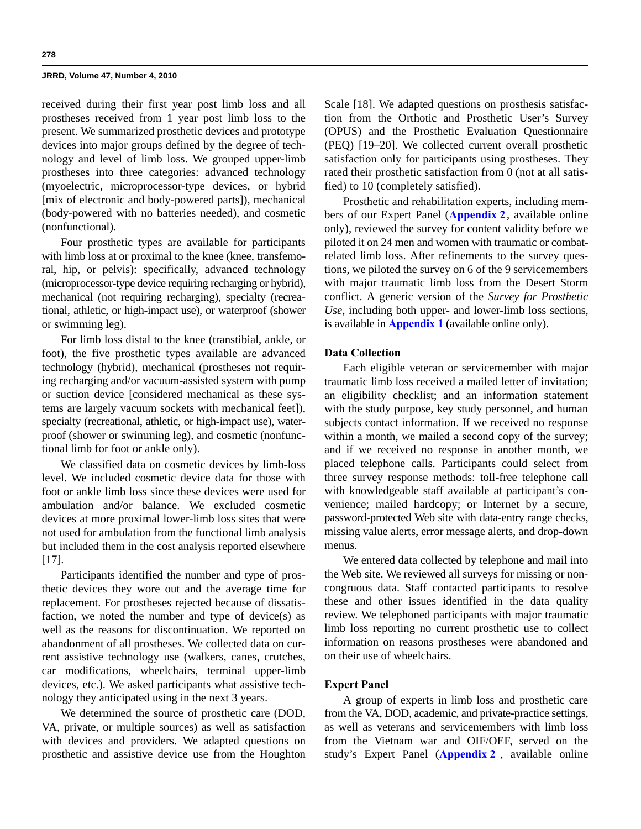received during their first year post limb loss and all prostheses received from 1 year post limb loss to the present. We summarized prosthetic devices and prototype devices into major groups defined by the degree of technology and level of limb loss. We grouped upper-limb prostheses into three categories: advanced technology (myoelectric, microprocessor-type devices, or hybrid [mix of electronic and body-powered parts]), mechanical (body-powered with no batteries needed), and cosmetic (nonfunctional).

Four prosthetic types are available for participants with limb loss at or proximal to the knee (knee, transfemoral, hip, or pelvis): specifically, advanced technology (microprocessor-type device requiring recharging or hybrid), mechanical (not requiring recharging), specialty (recreational, athletic, or high-impact use), or waterproof (shower or swimming leg).

For limb loss distal to the knee (transtibial, ankle, or foot), the five prosthetic types available are advanced technology (hybrid), mechanical (prostheses not requiring recharging and/or vacuum-assisted system with pump or suction device [considered mechanical as these systems are largely vacuum sockets with mechanical feet]), specialty (recreational, athletic, or high-impact use), waterproof (shower or swimming leg), and cosmetic (nonfunctional limb for foot or ankle only).

We classified data on cosmetic devices by limb-loss level. We included cosmetic device data for those with foot or ankle limb loss since these devices were used for ambulation and/or balance. We excluded cosmetic devices at more proximal lower-limb loss sites that were not used for ambulation from the functional limb analysis but included them in the cost analysis reported elsewhere [17].

Participants identified the number and type of prosthetic devices they wore out and the average time for replacement. For prostheses rejected because of dissatisfaction, we noted the number and type of device(s) as well as the reasons for discontinuation. We reported on abandonment of all prostheses. We collected data on current assistive technology use (walkers, canes, crutches, car modifications, wheelchairs, terminal upper-limb devices, etc.). We asked participants what assistive technology they anticipated using in the next 3 years.

We determined the source of prosthetic care (DOD, VA, private, or multiple sources) as well as satisfaction with devices and providers. We adapted questions on prosthetic and assistive device use from the Houghton

Scale [18]. We adapted questions on prosthesis satisfaction from the Orthotic and Prosthetic User's Survey (OPUS) and the Prosthetic Evaluation Questionnaire (PEQ) [19–20]. We collected current overall prosthetic satisfaction only for participants using prostheses. They rated their prosthetic satisfaction from 0 (not at all satisfied) to 10 (completely satisfied).

Prosthetic and rehabilitation experts, including members of our Expert Panel (**[Appendix 2](reiberaapen2.pdf)**, available online only), reviewed the survey for content validity before we piloted it on 24 men and women with traumatic or combatrelated limb loss. After refinements to the survey questions, we piloted the survey on 6 of the 9 servicemembers with major traumatic limb loss from the Desert Storm conflict. A generic version of the *Survey for Prosthetic Use*, including both upper- and lower-limb loss sections, is available in **[Appendix 1](prostheticssurvey.pdf)** (available online only).

# **Data Collection**

Each eligible veteran or servicemember with major traumatic limb loss received a mailed letter of invitation; an eligibility checklist; and an information statement with the study purpose, key study personnel, and human subjects contact information. If we received no response within a month, we mailed a second copy of the survey; and if we received no response in another month, we placed telephone calls. Participants could select from three survey response methods: toll-free telephone call with knowledgeable staff available at participant's convenience; mailed hardcopy; or Internet by a secure, password-protected Web site with data-entry range checks, missing value alerts, error message alerts, and drop-down menus.

We entered data collected by telephone and mail into the Web site. We reviewed all surveys for missing or noncongruous data. Staff contacted participants to resolve these and other issues identified in the data quality review. We telephoned participants with major traumatic limb loss reporting no current prosthetic use to collect information on reasons prostheses were abandoned and on their use of wheelchairs.

# **Expert Panel**

A group of experts in limb loss and prosthetic care from the VA, DOD, academic, and private-practice settings, as well as veterans and servicemembers with limb loss from the Vietnam war and OIF/OEF, served on the study's Expert Panel (**[Appendix 2](reiberaapen2.pdf)** , available online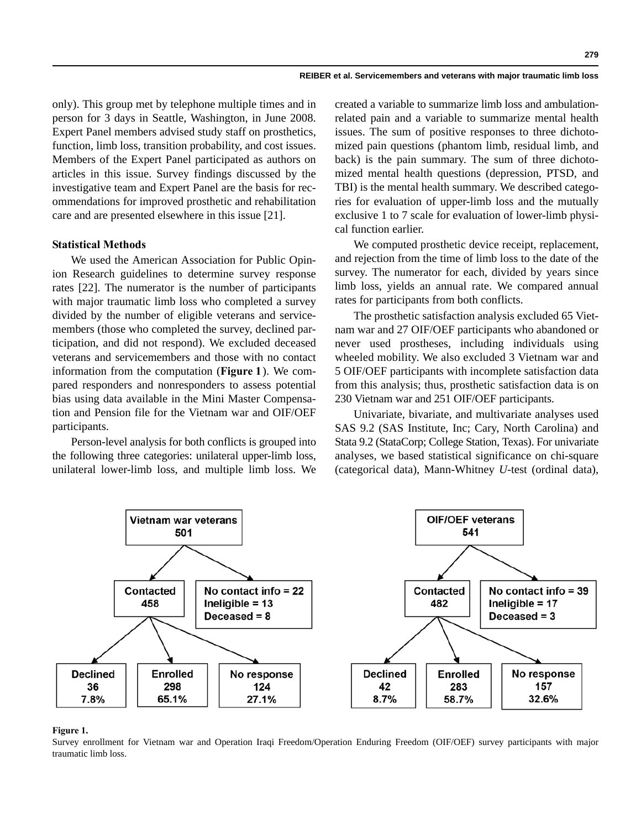**279**

### **REIBER et al. Servicemembers and veterans with major traumatic limb loss**

only). This group met by telephone multiple times and in person for 3 days in Seattle, Washington, in June 2008. Expert Panel members advised study staff on prosthetics, function, limb loss, transition probability, and cost issues. Members of the Expert Panel participated as authors on articles in this issue. Survey findings discussed by the investigative team and Expert Panel are the basis for recommendations for improved prosthetic and rehabilitation care and are presented elsewhere in this issue [21].

# **Statistical Methods**

We used the American Association for Public Opinion Research guidelines to determine survey response rates [22]. The numerator is the number of participants with major traumatic limb loss who completed a survey divided by the number of eligible veterans and servicemembers (those who completed the survey, declined participation, and did not respond). We excluded deceased veterans and servicemembers and those with no contact information from the computation (**Figure 1**). We compared responders and nonresponders to assess potential bias using data available in the Mini Master Compensation and Pension file for the Vietnam war and OIF/OEF participants.

Person-level analysis for both conflicts is grouped into the following three categories: unilateral upper-limb loss, unilateral lower-limb loss, and multiple limb loss. We

created a variable to summarize limb loss and ambulationrelated pain and a variable to summarize mental health issues. The sum of positive responses to three dichotomized pain questions (phantom limb, residual limb, and back) is the pain summary. The sum of three dichotomized mental health questions (depression, PTSD, and TBI) is the mental health summary. We described categories for evaluation of upper-limb loss and the mutually exclusive 1 to 7 scale for evaluation of lower-limb physical function earlier.

We computed prosthetic device receipt, replacement, and rejection from the time of limb loss to the date of the survey. The numerator for each, divided by years since limb loss, yields an annual rate. We compared annual rates for participants from both conflicts.

The prosthetic satisfaction analysis excluded 65 Vietnam war and 27 OIF/OEF participants who abandoned or never used prostheses, including individuals using wheeled mobility. We also excluded 3 Vietnam war and 5 OIF/OEF participants with incomplete satisfaction data from this analysis; thus, prosthetic satisfaction data is on 230 Vietnam war and 251 OIF/OEF participants.

Univariate, bivariate, and multivariate analyses used SAS 9.2 (SAS Institute, Inc; Cary, North Carolina) and Stata 9.2 (StataCorp; College Station, Texas). For univariate analyses, we based statistical significance on chi-square (categorical data), Mann-Whitney *U*-test (ordinal data),



#### **Figure 1.**

Survey enrollment for Vietnam war and Operation Iraqi Freedom/Operation Enduring Freedom (OIF/OEF) survey participants with major traumatic limb loss.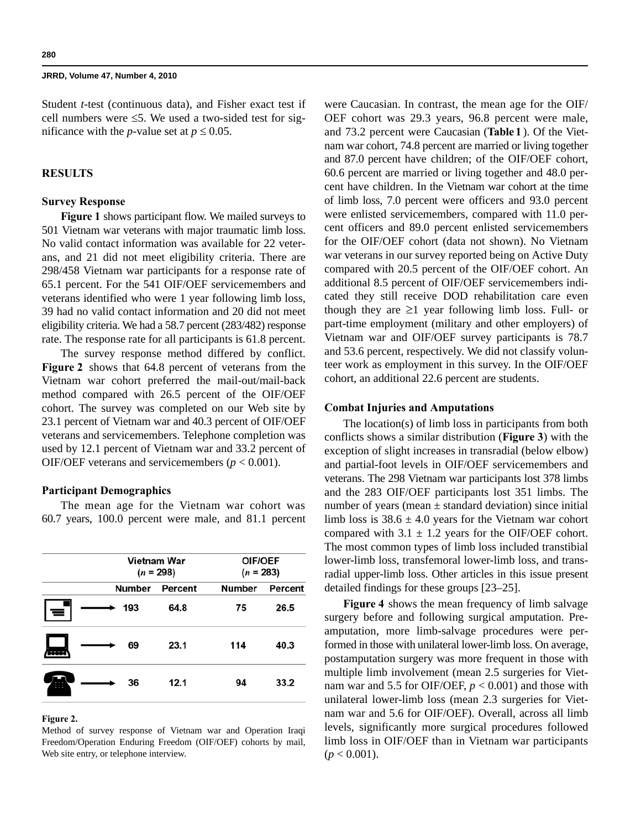Student *t*-test (continuous data), and Fisher exact test if cell numbers were  $\leq 5$ . We used a two-sided test for significance with the *p*-value set at  $p \le 0.05$ .

# **RESULTS**

# **Survey Response**

**Figure 1** shows participant flow. We mailed surveys to 501 Vietnam war veterans with major traumatic limb loss. No valid contact information was available for 22 veterans, and 21 did not meet eligibility criteria. There are 298/458 Vietnam war participants for a response rate of 65.1 percent. For the 541 OIF/OEF servicemembers and veterans identified who were 1 year following limb loss, 39 had no valid contact information and 20 did not meet eligibility criteria. We had a 58.7 percent (283/482) response rate. The response rate for all participants is 61.8 percent.

The survey response method differed by conflict. **Figure 2** shows that 64.8 percent of veterans from the Vietnam war cohort preferred the mail-out/mail-back method compared with 26.5 percent of the OIF/OEF cohort. The survey was completed on our Web site by 23.1 percent of Vietnam war and 40.3 percent of OIF/OEF veterans and servicemembers. Telephone completion was used by 12.1 percent of Vietnam war and 33.2 percent of OIF/OEF veterans and servicemembers ( $p < 0.001$ ).

### **Participant Demographics**

The mean age for the Vietnam war cohort was 60.7 years, 100.0 percent were male, and 81.1 percent

|        | Vietnam War<br>$(n = 298)$ | OIF/OEF<br>$(n = 283)$ |         |  |  |
|--------|----------------------------|------------------------|---------|--|--|
| Number | Percent                    | <b>Number</b>          | Percent |  |  |
| 193    | 64.8                       | 75                     | 26.5    |  |  |
| 69     | 23.1                       | 114                    | 40.3    |  |  |
| 36     | 12.1                       | 94                     | 33.2    |  |  |

# **Figure 2.**

Method of survey response of Vietnam war and Operation Iraqi Freedom/Operation Enduring Freedom (OIF/OEF) cohorts by mail, Web site entry, or telephone interview.

were Caucasian. In contrast, the mean age for the OIF/ OEF cohort was 29.3 years, 96.8 percent were male, and 73.2 percent were Caucasian (**Table 1** ). Of the Vietnam war cohort, 74.8 percent are married or living together and 87.0 percent have children; of the OIF/OEF cohort, 60.6 percent are married or living together and 48.0 percent have children. In the Vietnam war cohort at the time of limb loss, 7.0 percent were officers and 93.0 percent were enlisted servicemembers, compared with 11.0 percent officers and 89.0 percent enlisted servicemembers for the OIF/OEF cohort (data not shown). No Vietnam war veterans in our survey reported being on Active Duty compared with 20.5 percent of the OIF/OEF cohort. An additional 8.5 percent of OIF/OEF servicemembers indicated they still receive DOD rehabilitation care even though they are  $\geq 1$  year following limb loss. Full- or part-time employment (military and other employers) of Vietnam war and OIF/OEF survey participants is 78.7 and 53.6 percent, respectively. We did not classify volunteer work as employment in this survey. In the OIF/OEF cohort, an additional 22.6 percent are students.

### **Combat Injuries and Amputations**

The location(s) of limb loss in participants from both conflicts shows a similar distribution (**Figure 3**) with the exception of slight increases in transradial (below elbow) and partial-foot levels in OIF/OEF servicemembers and veterans. The 298 Vietnam war participants lost 378 limbs and the 283 OIF/OEF participants lost 351 limbs. The number of years (mean  $\pm$  standard deviation) since initial limb loss is  $38.6 \pm 4.0$  years for the Vietnam war cohort compared with  $3.1 \pm 1.2$  years for the OIF/OEF cohort. The most common types of limb loss included transtibial lower-limb loss, transfemoral lower-limb loss, and transradial upper-limb loss. Other articles in this issue present detailed findings for these groups [23–25].

**Figure 4** shows the mean frequency of limb salvage surgery before and following surgical amputation. Preamputation, more limb-salvage procedures were performed in those with unilateral lower-limb loss. On average, postamputation surgery was more frequent in those with multiple limb involvement (mean 2.5 surgeries for Vietnam war and 5.5 for OIF/OEF,  $p < 0.001$ ) and those with unilateral lower-limb loss (mean 2.3 surgeries for Vietnam war and 5.6 for OIF/OEF). Overall, across all limb levels, significantly more surgical procedures followed limb loss in OIF/OEF than in Vietnam war participants  $(p < 0.001)$ .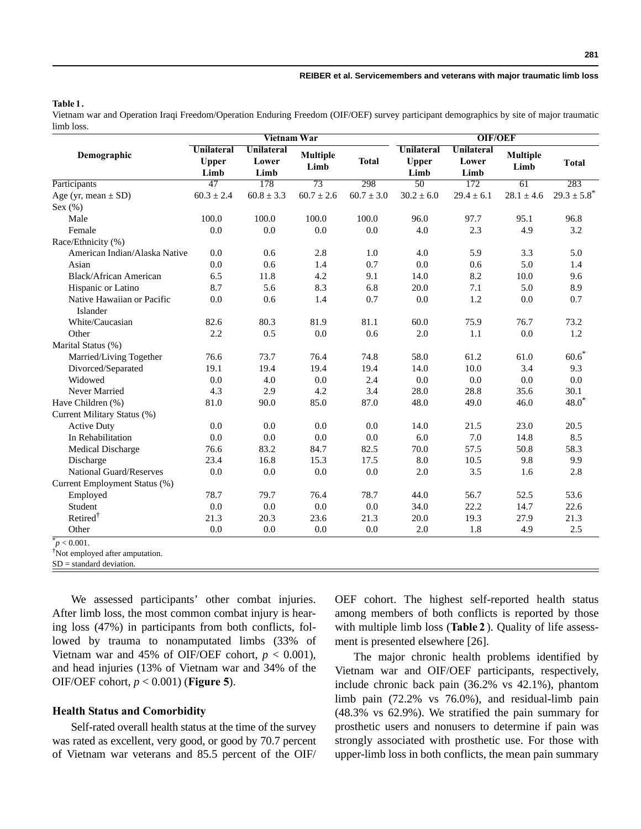# **Table 1.**

Vietnam war and Operation Iraqi Freedom/Operation Enduring Freedom (OIF/OEF) survey participant demographics by site of major traumatic limb loss.

|                                                                                              |                             | <b>Vietnam War</b>          |                         |                | <b>OIF/OEF</b>                     |                             |                         |                  |
|----------------------------------------------------------------------------------------------|-----------------------------|-----------------------------|-------------------------|----------------|------------------------------------|-----------------------------|-------------------------|------------------|
| Demographic                                                                                  | Unilateral<br>Upper<br>Limb | Unilateral<br>Lower<br>Limb | <b>Multiple</b><br>Limb | <b>Total</b>   | <b>Unilateral</b><br>Upper<br>Limb | Unilateral<br>Lower<br>Limb | <b>Multiple</b><br>Limb | <b>Total</b>     |
| Participants                                                                                 | 47                          | 178                         | 73                      | 298            | 50                                 | 172                         | 61                      | 283              |
| Age (yr, mean $\pm$ SD)                                                                      | $60.3 \pm 2.4$              | $60.8 \pm 3.3$              | $60.7 \pm 2.6$          | $60.7 \pm 3.0$ | $30.2 \pm 6.0$                     | $29.4 \pm 6.1$              | $28.1 \pm 4.6$          | $29.3 \pm 5.8^*$ |
| Sex $(\%)$                                                                                   |                             |                             |                         |                |                                    |                             |                         |                  |
| Male                                                                                         | 100.0                       | 100.0                       | 100.0                   | 100.0          | 96.0                               | 97.7                        | 95.1                    | 96.8             |
| Female                                                                                       | 0.0                         | 0.0                         | 0.0                     | 0.0            | 4.0                                | 2.3                         | 4.9                     | 3.2              |
| Race/Ethnicity (%)                                                                           |                             |                             |                         |                |                                    |                             |                         |                  |
| American Indian/Alaska Native                                                                | 0.0                         | 0.6                         | 2.8                     | 1.0            | 4.0                                | 5.9                         | 3.3                     | 5.0              |
| Asian                                                                                        | 0.0                         | 0.6                         | 1.4                     | 0.7            | 0.0                                | 0.6                         | 5.0                     | 1.4              |
| <b>Black/African American</b>                                                                | 6.5                         | 11.8                        | 4.2                     | 9.1            | 14.0                               | 8.2                         | 10.0                    | 9.6              |
| Hispanic or Latino                                                                           | 8.7                         | 5.6                         | 8.3                     | 6.8            | 20.0                               | 7.1                         | 5.0                     | 8.9              |
| Native Hawaiian or Pacific                                                                   | 0.0                         | 0.6                         | 1.4                     | 0.7            | 0.0                                | 1.2                         | 0.0                     | 0.7              |
| Islander                                                                                     |                             |                             |                         |                |                                    |                             |                         |                  |
| White/Caucasian                                                                              | 82.6                        | 80.3                        | 81.9                    | 81.1           | 60.0                               | 75.9                        | 76.7                    | 73.2             |
| Other                                                                                        | 2.2                         | 0.5                         | 0.0                     | 0.6            | 2.0                                | 1.1                         | 0.0                     | 1.2              |
| Marital Status (%)                                                                           |                             |                             |                         |                |                                    |                             |                         |                  |
| Married/Living Together                                                                      | 76.6                        | 73.7                        | 76.4                    | 74.8           | 58.0                               | 61.2                        | 61.0                    | $60.6*$          |
| Divorced/Separated                                                                           | 19.1                        | 19.4                        | 19.4                    | 19.4           | 14.0                               | 10.0                        | 3.4                     | 9.3              |
| Widowed                                                                                      | 0.0                         | 4.0                         | 0.0                     | 2.4            | 0.0                                | 0.0                         | 0.0                     | 0.0              |
| Never Married                                                                                | 4.3                         | 2.9                         | 4.2                     | 3.4            | 28.0                               | 28.8                        | 35.6                    | 30.1             |
| Have Children (%)                                                                            | 81.0                        | 90.0                        | 85.0                    | 87.0           | 48.0                               | 49.0                        | 46.0                    | $48.0*$          |
| Current Military Status (%)                                                                  |                             |                             |                         |                |                                    |                             |                         |                  |
| <b>Active Duty</b>                                                                           | 0.0                         | 0.0                         | 0.0                     | 0.0            | 14.0                               | 21.5                        | 23.0                    | 20.5             |
| In Rehabilitation                                                                            | 0.0                         | 0.0                         | 0.0                     | 0.0            | 6.0                                | 7.0                         | 14.8                    | 8.5              |
| Medical Discharge                                                                            | 76.6                        | 83.2                        | 84.7                    | 82.5           | 70.0                               | 57.5                        | 50.8                    | 58.3             |
| Discharge                                                                                    | 23.4                        | 16.8                        | 15.3                    | 17.5           | 8.0                                | 10.5                        | 9.8                     | 9.9              |
| <b>National Guard/Reserves</b>                                                               | 0.0                         | 0.0                         | 0.0                     | 0.0            | 2.0                                | 3.5                         | 1.6                     | 2.8              |
| Current Employment Status (%)                                                                |                             |                             |                         |                |                                    |                             |                         |                  |
| Employed                                                                                     | 78.7                        | 79.7                        | 76.4                    | 78.7           | 44.0                               | 56.7                        | 52.5                    | 53.6             |
| Student                                                                                      | 0.0                         | 0.0                         | 0.0                     | 0.0            | 34.0                               | 22.2                        | 14.7                    | 22.6             |
| Retired <sup>†</sup>                                                                         | 21.3                        | 20.3                        | 23.6                    | 21.3           | 20.0                               | 19.3                        | 27.9                    | 21.3             |
| Other                                                                                        | 0.0                         | 0.0                         | 0.0                     | 0.0            | 2.0                                | 1.8                         | 4.9                     | 2.5              |
| $p^*$ < 0.001.<br><sup>†</sup> Not employed after amputation.<br>$SD = standard deviation$ . |                             |                             |                         |                |                                    |                             |                         |                  |

We assessed participants' other combat injuries. After limb loss, the most common combat injury is hearing loss (47%) in participants from both conflicts, followed by trauma to nonamputated limbs (33% of Vietnam war and 45% of OIF/OEF cohort,  $p < 0.001$ ), and head injuries (13% of Vietnam war and 34% of the OIF/OEF cohort, *p* < 0.001) (**Figure 5**).

# **Health Status and Comorbidity**

Self-rated overall health status at the time of the survey was rated as excellent, very good, or good by 70.7 percent of Vietnam war veterans and 85.5 percent of the OIF/

OEF cohort. The highest self-reported health status among members of both conflicts is reported by those with multiple limb loss (**Table 2** ). Quality of life assessment is presented elsewhere [26].

The major chronic health problems identified by Vietnam war and OIF/OEF participants, respectively, include chronic back pain (36.2% vs 42.1%), phantom limb pain (72.2% vs 76.0%), and residual-limb pain (48.3% vs 62.9%). We stratified the pain summary for prosthetic users and nonusers to determine if pain was strongly associated with prosthetic use. For those with upper-limb loss in both conflicts, the mean pain summary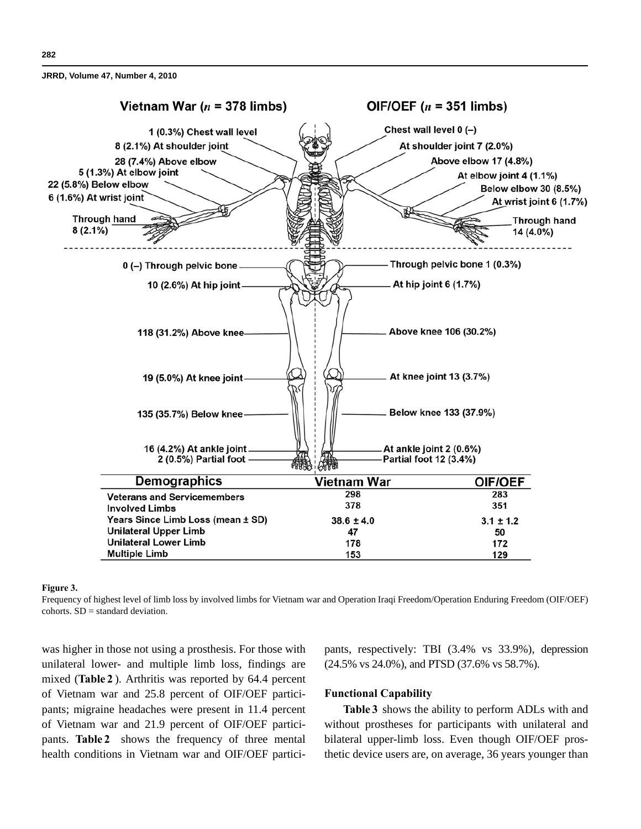



#### **Figure 3.**

Frequency of highest level of limb loss by involved limbs for Vietnam war and Operation Iraqi Freedom/Operation Enduring Freedom (OIF/OEF)  $\text{cohorts. } SD = \text{standard deviation.}$ 

was higher in those not using a prosthesis. For those with unilateral lower- and multiple limb loss, findings are mixed (**Table 2** ). Arthritis was reported by 64.4 percent of Vietnam war and 25.8 percent of OIF/OEF participants; migraine headaches were present in 11.4 percent of Vietnam war and 21.9 percent of OIF/OEF participants. **Table 2** shows the frequency of three mental health conditions in Vietnam war and OIF/OEF participants, respectively: TBI (3.4% vs 33.9%), depression (24.5% vs 24.0%), and PTSD (37.6% vs 58.7%).

### **Functional Capability**

**Table 3** shows the ability to perform ADLs with and without prostheses for participants with unilateral and bilateral upper-limb loss. Even though OIF/OEF prosthetic device users are, on average, 36 years younger than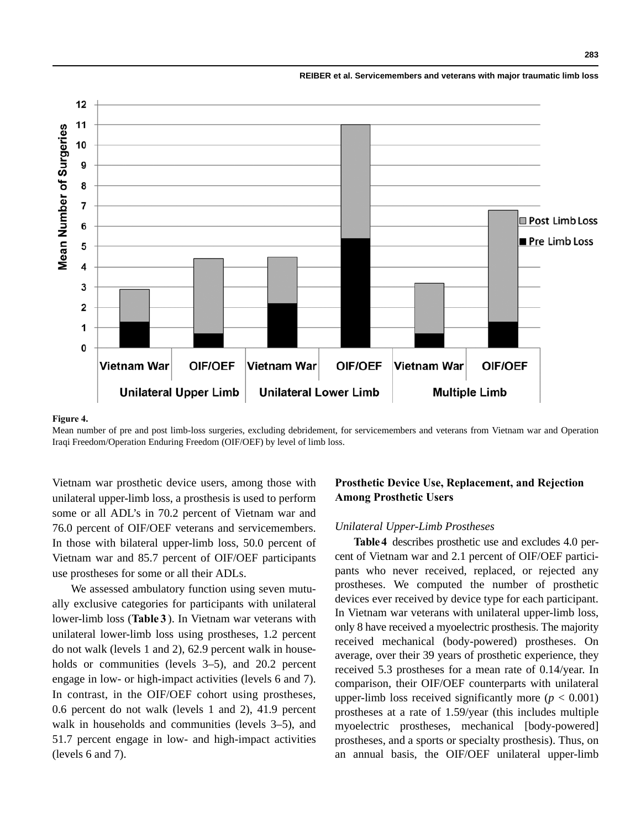

#### **Figure 4.**

Mean number of pre and post limb-loss surgeries, excluding debridement, for servicemembers and veterans from Vietnam war and Operation Iraqi Freedom/Operation Enduring Freedom (OIF/OEF) by level of limb loss.

Vietnam war prosthetic device users, among those with unilateral upper-limb loss, a prosthesis is used to perform some or all ADL's in 70.2 percent of Vietnam war and 76.0 percent of OIF/OEF veterans and servicemembers. In those with bilateral upper-limb loss, 50.0 percent of Vietnam war and 85.7 percent of OIF/OEF participants use prostheses for some or all their ADLs.

We assessed ambulatory function using seven mutually exclusive categories for participants with unilateral lower-limb loss (**Table 3** ). In Vietnam war veterans with unilateral lower-limb loss using prostheses, 1.2 percent do not walk (levels 1 and 2), 62.9 percent walk in households or communities (levels 3–5), and 20.2 percent engage in low- or high-impact activities (levels 6 and 7). In contrast, in the OIF/OEF cohort using prostheses, 0.6 percent do not walk (levels 1 and 2), 41.9 percent walk in households and communities (levels 3–5), and 51.7 percent engage in low- and high-impact activities (levels 6 and 7).

# **Prosthetic Device Use, Replacement, and Rejection Among Prosthetic Users**

#### *Unilateral Upper-Limb Prostheses*

**Table 4** describes prosthetic use and excludes 4.0 percent of Vietnam war and 2.1 percent of OIF/OEF participants who never received, replaced, or rejected any prostheses. We computed the number of prosthetic devices ever received by device type for each participant. In Vietnam war veterans with unilateral upper-limb loss, only 8 have received a myoelectric prosthesis. The majority received mechanical (body-powered) prostheses. On average, over their 39 years of prosthetic experience, they received 5.3 prostheses for a mean rate of 0.14/year. In comparison, their OIF/OEF counterparts with unilateral upper-limb loss received significantly more  $(p < 0.001)$ prostheses at a rate of 1.59/year (this includes multiple myoelectric prostheses, mechanical [body-powered] prostheses, and a sports or specialty prosthesis). Thus, on an annual basis, the OIF/OEF unilateral upper-limb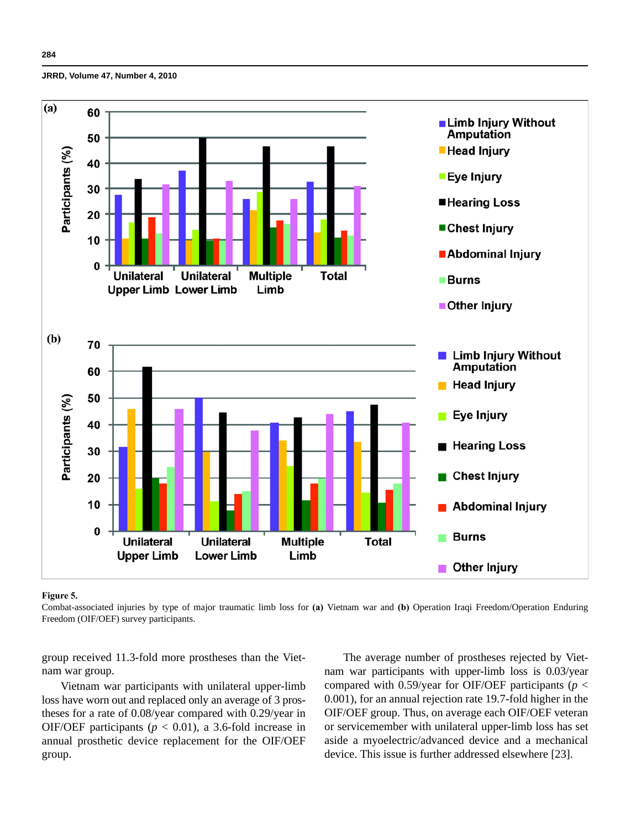



### **Figure 5.**

Combat-associated injuries by type of major traumatic limb loss for **(a)** Vietnam war and **(b)** Operation Iraqi Freedom/Operation Enduring Freedom (OIF/OEF) survey participants.

group received 11.3-fold more prostheses than the Vietnam war group.

Vietnam war participants with unilateral upper-limb loss have worn out and replaced only an average of 3 prostheses for a rate of 0.08/year compared with 0.29/year in OIF/OEF participants ( $p < 0.01$ ), a 3.6-fold increase in annual prosthetic device replacement for the OIF/OEF group.

The average number of prostheses rejected by Vietnam war participants with upper-limb loss is 0.03/year compared with 0.59/year for OIF/OEF participants ( $p <$ 0.001), for an annual rejection rate 19.7-fold higher in the OIF/OEF group. Thus, on average each OIF/OEF veteran or servicemember with unilateral upper-limb loss has set aside a myoelectric/advanced device and a mechanical device. This issue is further addressed elsewhere [23].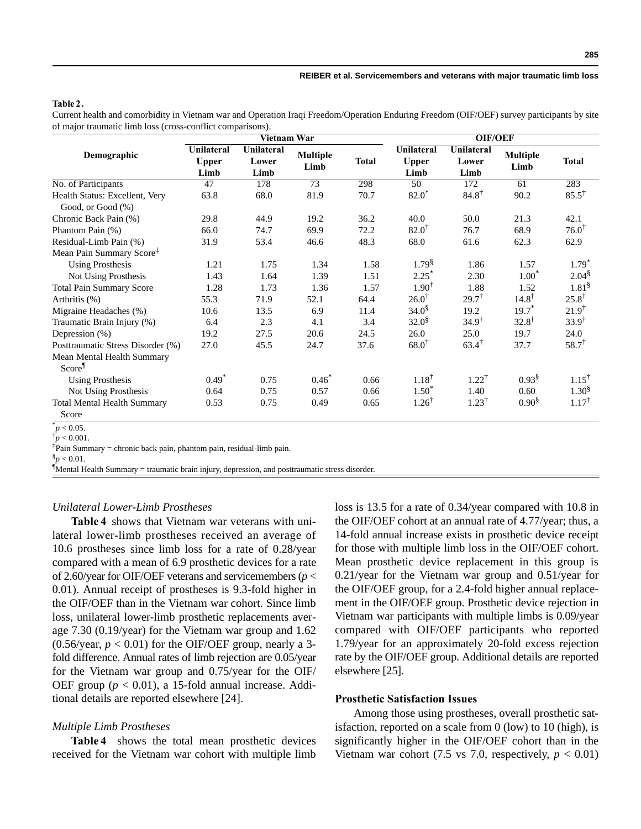# **Table 2.**

Current health and comorbidity in Vietnam war and Operation Iraqi Freedom/Operation Enduring Freedom (OIF/OEF) survey participants by site of major traumatic limb loss (cross-conflict comparisons).

|                                                     | Vietnam War                        |                             |                         |              | <b>OIF/OEF</b>                     |                             |                         |                   |
|-----------------------------------------------------|------------------------------------|-----------------------------|-------------------------|--------------|------------------------------------|-----------------------------|-------------------------|-------------------|
| Demographic                                         | Unilateral<br><b>Upper</b><br>Limb | Unilateral<br>Lower<br>Limb | <b>Multiple</b><br>Limb | <b>Total</b> | Unilateral<br><b>Upper</b><br>Limb | Unilateral<br>Lower<br>Limb | <b>Multiple</b><br>Limb | <b>Total</b>      |
| No. of Participants                                 | 47                                 | 178                         | 73                      | 298          | 50                                 | 172                         | 61                      | 283               |
| Health Status: Excellent, Very<br>Good, or Good (%) | 63.8                               | 68.0                        | 81.9                    | 70.7         | $82.0*$                            | $84.8^{\dagger}$            | 90.2                    | $85.5^{\dagger}$  |
| Chronic Back Pain (%)                               | 29.8                               | 44.9                        | 19.2                    | 36.2         | 40.0                               | 50.0                        | 21.3                    | 42.1              |
| Phantom Pain (%)                                    | 66.0                               | 74.7                        | 69.9                    | 72.2         | $82.0^{\dagger}$                   | 76.7                        | 68.9                    | $76.0^{\dagger}$  |
| Residual-Limb Pain (%)                              | 31.9                               | 53.4                        | 46.6                    | 48.3         | 68.0                               | 61.6                        | 62.3                    | 62.9              |
| Mean Pain Summary Score <sup>‡</sup>                |                                    |                             |                         |              |                                    |                             |                         |                   |
| <b>Using Prosthesis</b>                             | 1.21                               | 1.75                        | 1.34                    | 1.58         | 1.79 <sup>§</sup>                  | 1.86                        | 1.57                    | $1.79*$           |
| Not Using Prosthesis                                | 1.43                               | 1.64                        | 1.39                    | 1.51         | $2.25^*$                           | 2.30                        | $1.00*$                 | $2.04^{\$}$       |
| <b>Total Pain Summary Score</b>                     | 1.28                               | 1.73                        | 1.36                    | 1.57         | $1.90^{\dagger}$                   | 1.88                        | 1.52                    | 1.81 <sup>§</sup> |
| Arthritis (%)                                       | 55.3                               | 71.9                        | 52.1                    | 64.4         | $26.0^{\dagger}$                   | $29.7^{\dagger}$            | $14.8^{\dagger}$        | $25.8^{\dagger}$  |
| Migraine Headaches (%)                              | 10.6                               | 13.5                        | 6.9                     | 11.4         | $34.0^{\$}$                        | 19.2                        | $19.7*$                 | $21.9^{\dagger}$  |
| Traumatic Brain Injury (%)                          | 6.4                                | 2.3                         | 4.1                     | 3.4          | 32.0 <sup>8</sup>                  | $34.9^{\dagger}$            | $32.8^{\dagger}$        | $33.9^{\dagger}$  |
| Depression (%)                                      | 19.2                               | 27.5                        | 20.6                    | 24.5         | 26.0                               | 25.0                        | 19.7                    | 24.0              |
| Posttraumatic Stress Disorder (%)                   | 27.0                               | 45.5                        | 24.7                    | 37.6         | $68.0^{\dagger}$                   | $63.4^{\dagger}$            | 37.7                    | $58.7^{\dagger}$  |
| Mean Mental Health Summary<br>Score                 |                                    |                             |                         |              |                                    |                             |                         |                   |
| <b>Using Prosthesis</b>                             | $0.49*$                            | 0.75                        | $0.46*$                 | 0.66         | $1.18^{\dagger}$                   | $1.22^{\dagger}$            | $0.93^{\$}$             | $1.15^{\dagger}$  |
| Not Using Prosthesis                                | 0.64                               | 0.75                        | 0.57                    | 0.66         | $1.50*$                            | 1.40                        | 0.60                    | 1.30 <sup>§</sup> |
| <b>Total Mental Health Summary</b><br>Score         | 0.53                               | 0.75                        | 0.49                    | 0.65         | $1.26^{\dagger}$                   | $1.23^{\dagger}$            | $0.90^{8}$              | $1.17^{\dagger}$  |

 $p$  < 0.05.

 $\bar{p}$  < 0.001.

‡ Pain Summary = chronic back pain, phantom pain, residual-limb pain.

¶ Mental Health Summary = traumatic brain injury, depression, and posttraumatic stress disorder.

# *Unilateral Lower-Limb Prostheses*

**Table 4** shows that Vietnam war veterans with unilateral lower-limb prostheses received an average of 10.6 prostheses since limb loss for a rate of 0.28/year compared with a mean of 6.9 prosthetic devices for a rate of 2.60/year for OIF/OEF veterans and servicemembers (*p* < 0.01). Annual receipt of prostheses is 9.3-fold higher in the OIF/OEF than in the Vietnam war cohort. Since limb loss, unilateral lower-limb prosthetic replacements average 7.30 (0.19/year) for the Vietnam war group and 1.62 (0.56/year,  $p < 0.01$ ) for the OIF/OEF group, nearly a 3fold difference. Annual rates of limb rejection are 0.05/year for the Vietnam war group and 0.75/year for the OIF/ OEF group  $(p < 0.01)$ , a 15-fold annual increase. Additional details are reported elsewhere [24].

### *Multiple Limb Prostheses*

**Table 4** shows the total mean prosthetic devices received for the Vietnam war cohort with multiple limb loss is 13.5 for a rate of 0.34/year compared with 10.8 in the OIF/OEF cohort at an annual rate of 4.77/year; thus, a 14-fold annual increase exists in prosthetic device receipt for those with multiple limb loss in the OIF/OEF cohort. Mean prosthetic device replacement in this group is 0.21/year for the Vietnam war group and 0.51/year for the OIF/OEF group, for a 2.4-fold higher annual replacement in the OIF/OEF group. Prosthetic device rejection in Vietnam war participants with multiple limbs is 0.09/year compared with OIF/OEF participants who reported 1.79/year for an approximately 20-fold excess rejection rate by the OIF/OEF group. Additional details are reported elsewhere [25].

### **Prosthetic Satisfaction Issues**

Among those using prostheses, overall prosthetic satisfaction, reported on a scale from 0 (low) to 10 (high), is significantly higher in the OIF/OEF cohort than in the Vietnam war cohort (7.5 vs 7.0, respectively,  $p < 0.01$ )

 $\frac{8}{9}$  < 0.01.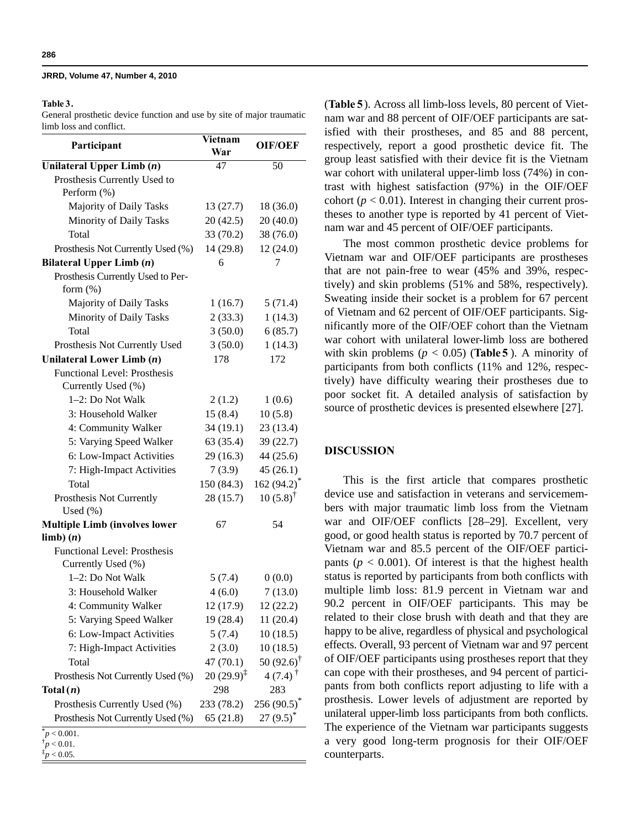### **Table 3.**

General prosthetic device function and use by site of major traumatic limb loss and conflict.

| Unilateral Upper Limb $(n)$<br>47<br>50<br>Prosthesis Currently Used to<br>Perform (%)<br>Majority of Daily Tasks<br>13(27.7)<br>18 (36.0)<br>Minority of Daily Tasks<br>20(42.5)<br>20(40.0)<br>Total<br>33(70.2)<br>38 (76.0)<br>Prosthesis Not Currently Used (%)<br>14(29.8)<br>12(24.0)<br><b>Bilateral Upper Limb (n)</b><br>6<br>7<br>Prosthesis Currently Used to Per-<br>form $(\%)$<br>Majority of Daily Tasks<br>5(71.4)<br>1(16.7)<br>Minority of Daily Tasks<br>2(33.3)<br>1(14.3)<br>6(85.7)<br>Total<br>3(50.0)<br>3(50.0)<br>1(14.3)<br>Prosthesis Not Currently Used<br>Unilateral Lower Limb (n)<br>172<br>178<br><b>Functional Level: Prosthesis</b><br>Currently Used (%)<br>1-2: Do Not Walk<br>2(1.2)<br>1(0.6)<br>3: Household Walker<br>15(8.4)<br>10(5.8)<br>4: Community Walker<br>34(19.1)<br>23 (13.4)<br>5: Varying Speed Walker<br>63(35.4)<br>39 (22.7)<br>6: Low-Impact Activities<br>29(16.3)<br>44 (25.6)<br>45(26.1)<br>7: High-Impact Activities<br>7(3.9)<br>$162(94.2)^*$<br>150 (84.3)<br>Total<br>$10(5.8)^{\dagger}$<br>28(15.7)<br>Prosthesis Not Currently<br>Used $(\%)$<br><b>Multiple Limb (involves lower</b><br>54<br>67<br>$limb)$ $(n)$<br><b>Functional Level: Prosthesis</b><br>Currently Used (%)<br>1-2: Do Not Walk<br>0(0.0)<br>5(7.4)<br>3: Household Walker<br>4(6.0)<br>7(13.0)<br>12 (17.9)<br>12(22.2)<br>4: Community Walker<br>5: Varying Speed Walker<br>19 (28.4)<br>11 (20.4)<br>6: Low-Impact Activities<br>5(7.4)<br>10(18.5)<br>10(18.5)<br>7: High-Impact Activities<br>2(3.0)<br>50 $(92.6)$ <sup>†</sup><br>Total<br>47 (70.1)<br>$4(7.4)$ <sup>†</sup><br>$20(29.9)^{\ddagger}$<br>Prosthesis Not Currently Used (%)<br>298<br>283<br>$\text{Total}(n)$<br>$256(90.5)^*$<br>Prosthesis Currently Used (%)<br>233 (78.2) | Participant                       | Vietnam<br>War | <b>OIF/OEF</b> |  |
|--------------------------------------------------------------------------------------------------------------------------------------------------------------------------------------------------------------------------------------------------------------------------------------------------------------------------------------------------------------------------------------------------------------------------------------------------------------------------------------------------------------------------------------------------------------------------------------------------------------------------------------------------------------------------------------------------------------------------------------------------------------------------------------------------------------------------------------------------------------------------------------------------------------------------------------------------------------------------------------------------------------------------------------------------------------------------------------------------------------------------------------------------------------------------------------------------------------------------------------------------------------------------------------------------------------------------------------------------------------------------------------------------------------------------------------------------------------------------------------------------------------------------------------------------------------------------------------------------------------------------------------------------------------------------------------------------------------------------------------------------------------------------------------------------|-----------------------------------|----------------|----------------|--|
|                                                                                                                                                                                                                                                                                                                                                                                                                                                                                                                                                                                                                                                                                                                                                                                                                                                                                                                                                                                                                                                                                                                                                                                                                                                                                                                                                                                                                                                                                                                                                                                                                                                                                                                                                                                                  |                                   |                |                |  |
|                                                                                                                                                                                                                                                                                                                                                                                                                                                                                                                                                                                                                                                                                                                                                                                                                                                                                                                                                                                                                                                                                                                                                                                                                                                                                                                                                                                                                                                                                                                                                                                                                                                                                                                                                                                                  |                                   |                |                |  |
|                                                                                                                                                                                                                                                                                                                                                                                                                                                                                                                                                                                                                                                                                                                                                                                                                                                                                                                                                                                                                                                                                                                                                                                                                                                                                                                                                                                                                                                                                                                                                                                                                                                                                                                                                                                                  |                                   |                |                |  |
|                                                                                                                                                                                                                                                                                                                                                                                                                                                                                                                                                                                                                                                                                                                                                                                                                                                                                                                                                                                                                                                                                                                                                                                                                                                                                                                                                                                                                                                                                                                                                                                                                                                                                                                                                                                                  |                                   |                |                |  |
|                                                                                                                                                                                                                                                                                                                                                                                                                                                                                                                                                                                                                                                                                                                                                                                                                                                                                                                                                                                                                                                                                                                                                                                                                                                                                                                                                                                                                                                                                                                                                                                                                                                                                                                                                                                                  |                                   |                |                |  |
|                                                                                                                                                                                                                                                                                                                                                                                                                                                                                                                                                                                                                                                                                                                                                                                                                                                                                                                                                                                                                                                                                                                                                                                                                                                                                                                                                                                                                                                                                                                                                                                                                                                                                                                                                                                                  |                                   |                |                |  |
|                                                                                                                                                                                                                                                                                                                                                                                                                                                                                                                                                                                                                                                                                                                                                                                                                                                                                                                                                                                                                                                                                                                                                                                                                                                                                                                                                                                                                                                                                                                                                                                                                                                                                                                                                                                                  |                                   |                |                |  |
|                                                                                                                                                                                                                                                                                                                                                                                                                                                                                                                                                                                                                                                                                                                                                                                                                                                                                                                                                                                                                                                                                                                                                                                                                                                                                                                                                                                                                                                                                                                                                                                                                                                                                                                                                                                                  |                                   |                |                |  |
|                                                                                                                                                                                                                                                                                                                                                                                                                                                                                                                                                                                                                                                                                                                                                                                                                                                                                                                                                                                                                                                                                                                                                                                                                                                                                                                                                                                                                                                                                                                                                                                                                                                                                                                                                                                                  |                                   |                |                |  |
|                                                                                                                                                                                                                                                                                                                                                                                                                                                                                                                                                                                                                                                                                                                                                                                                                                                                                                                                                                                                                                                                                                                                                                                                                                                                                                                                                                                                                                                                                                                                                                                                                                                                                                                                                                                                  |                                   |                |                |  |
|                                                                                                                                                                                                                                                                                                                                                                                                                                                                                                                                                                                                                                                                                                                                                                                                                                                                                                                                                                                                                                                                                                                                                                                                                                                                                                                                                                                                                                                                                                                                                                                                                                                                                                                                                                                                  |                                   |                |                |  |
|                                                                                                                                                                                                                                                                                                                                                                                                                                                                                                                                                                                                                                                                                                                                                                                                                                                                                                                                                                                                                                                                                                                                                                                                                                                                                                                                                                                                                                                                                                                                                                                                                                                                                                                                                                                                  |                                   |                |                |  |
|                                                                                                                                                                                                                                                                                                                                                                                                                                                                                                                                                                                                                                                                                                                                                                                                                                                                                                                                                                                                                                                                                                                                                                                                                                                                                                                                                                                                                                                                                                                                                                                                                                                                                                                                                                                                  |                                   |                |                |  |
|                                                                                                                                                                                                                                                                                                                                                                                                                                                                                                                                                                                                                                                                                                                                                                                                                                                                                                                                                                                                                                                                                                                                                                                                                                                                                                                                                                                                                                                                                                                                                                                                                                                                                                                                                                                                  |                                   |                |                |  |
|                                                                                                                                                                                                                                                                                                                                                                                                                                                                                                                                                                                                                                                                                                                                                                                                                                                                                                                                                                                                                                                                                                                                                                                                                                                                                                                                                                                                                                                                                                                                                                                                                                                                                                                                                                                                  |                                   |                |                |  |
|                                                                                                                                                                                                                                                                                                                                                                                                                                                                                                                                                                                                                                                                                                                                                                                                                                                                                                                                                                                                                                                                                                                                                                                                                                                                                                                                                                                                                                                                                                                                                                                                                                                                                                                                                                                                  |                                   |                |                |  |
|                                                                                                                                                                                                                                                                                                                                                                                                                                                                                                                                                                                                                                                                                                                                                                                                                                                                                                                                                                                                                                                                                                                                                                                                                                                                                                                                                                                                                                                                                                                                                                                                                                                                                                                                                                                                  |                                   |                |                |  |
|                                                                                                                                                                                                                                                                                                                                                                                                                                                                                                                                                                                                                                                                                                                                                                                                                                                                                                                                                                                                                                                                                                                                                                                                                                                                                                                                                                                                                                                                                                                                                                                                                                                                                                                                                                                                  |                                   |                |                |  |
|                                                                                                                                                                                                                                                                                                                                                                                                                                                                                                                                                                                                                                                                                                                                                                                                                                                                                                                                                                                                                                                                                                                                                                                                                                                                                                                                                                                                                                                                                                                                                                                                                                                                                                                                                                                                  |                                   |                |                |  |
|                                                                                                                                                                                                                                                                                                                                                                                                                                                                                                                                                                                                                                                                                                                                                                                                                                                                                                                                                                                                                                                                                                                                                                                                                                                                                                                                                                                                                                                                                                                                                                                                                                                                                                                                                                                                  |                                   |                |                |  |
|                                                                                                                                                                                                                                                                                                                                                                                                                                                                                                                                                                                                                                                                                                                                                                                                                                                                                                                                                                                                                                                                                                                                                                                                                                                                                                                                                                                                                                                                                                                                                                                                                                                                                                                                                                                                  |                                   |                |                |  |
|                                                                                                                                                                                                                                                                                                                                                                                                                                                                                                                                                                                                                                                                                                                                                                                                                                                                                                                                                                                                                                                                                                                                                                                                                                                                                                                                                                                                                                                                                                                                                                                                                                                                                                                                                                                                  |                                   |                |                |  |
|                                                                                                                                                                                                                                                                                                                                                                                                                                                                                                                                                                                                                                                                                                                                                                                                                                                                                                                                                                                                                                                                                                                                                                                                                                                                                                                                                                                                                                                                                                                                                                                                                                                                                                                                                                                                  |                                   |                |                |  |
|                                                                                                                                                                                                                                                                                                                                                                                                                                                                                                                                                                                                                                                                                                                                                                                                                                                                                                                                                                                                                                                                                                                                                                                                                                                                                                                                                                                                                                                                                                                                                                                                                                                                                                                                                                                                  |                                   |                |                |  |
|                                                                                                                                                                                                                                                                                                                                                                                                                                                                                                                                                                                                                                                                                                                                                                                                                                                                                                                                                                                                                                                                                                                                                                                                                                                                                                                                                                                                                                                                                                                                                                                                                                                                                                                                                                                                  |                                   |                |                |  |
|                                                                                                                                                                                                                                                                                                                                                                                                                                                                                                                                                                                                                                                                                                                                                                                                                                                                                                                                                                                                                                                                                                                                                                                                                                                                                                                                                                                                                                                                                                                                                                                                                                                                                                                                                                                                  |                                   |                |                |  |
|                                                                                                                                                                                                                                                                                                                                                                                                                                                                                                                                                                                                                                                                                                                                                                                                                                                                                                                                                                                                                                                                                                                                                                                                                                                                                                                                                                                                                                                                                                                                                                                                                                                                                                                                                                                                  |                                   |                |                |  |
|                                                                                                                                                                                                                                                                                                                                                                                                                                                                                                                                                                                                                                                                                                                                                                                                                                                                                                                                                                                                                                                                                                                                                                                                                                                                                                                                                                                                                                                                                                                                                                                                                                                                                                                                                                                                  |                                   |                |                |  |
|                                                                                                                                                                                                                                                                                                                                                                                                                                                                                                                                                                                                                                                                                                                                                                                                                                                                                                                                                                                                                                                                                                                                                                                                                                                                                                                                                                                                                                                                                                                                                                                                                                                                                                                                                                                                  |                                   |                |                |  |
|                                                                                                                                                                                                                                                                                                                                                                                                                                                                                                                                                                                                                                                                                                                                                                                                                                                                                                                                                                                                                                                                                                                                                                                                                                                                                                                                                                                                                                                                                                                                                                                                                                                                                                                                                                                                  |                                   |                |                |  |
|                                                                                                                                                                                                                                                                                                                                                                                                                                                                                                                                                                                                                                                                                                                                                                                                                                                                                                                                                                                                                                                                                                                                                                                                                                                                                                                                                                                                                                                                                                                                                                                                                                                                                                                                                                                                  |                                   |                |                |  |
|                                                                                                                                                                                                                                                                                                                                                                                                                                                                                                                                                                                                                                                                                                                                                                                                                                                                                                                                                                                                                                                                                                                                                                                                                                                                                                                                                                                                                                                                                                                                                                                                                                                                                                                                                                                                  |                                   |                |                |  |
|                                                                                                                                                                                                                                                                                                                                                                                                                                                                                                                                                                                                                                                                                                                                                                                                                                                                                                                                                                                                                                                                                                                                                                                                                                                                                                                                                                                                                                                                                                                                                                                                                                                                                                                                                                                                  |                                   |                |                |  |
|                                                                                                                                                                                                                                                                                                                                                                                                                                                                                                                                                                                                                                                                                                                                                                                                                                                                                                                                                                                                                                                                                                                                                                                                                                                                                                                                                                                                                                                                                                                                                                                                                                                                                                                                                                                                  |                                   |                |                |  |
|                                                                                                                                                                                                                                                                                                                                                                                                                                                                                                                                                                                                                                                                                                                                                                                                                                                                                                                                                                                                                                                                                                                                                                                                                                                                                                                                                                                                                                                                                                                                                                                                                                                                                                                                                                                                  |                                   |                |                |  |
|                                                                                                                                                                                                                                                                                                                                                                                                                                                                                                                                                                                                                                                                                                                                                                                                                                                                                                                                                                                                                                                                                                                                                                                                                                                                                                                                                                                                                                                                                                                                                                                                                                                                                                                                                                                                  |                                   |                |                |  |
|                                                                                                                                                                                                                                                                                                                                                                                                                                                                                                                                                                                                                                                                                                                                                                                                                                                                                                                                                                                                                                                                                                                                                                                                                                                                                                                                                                                                                                                                                                                                                                                                                                                                                                                                                                                                  |                                   |                |                |  |
|                                                                                                                                                                                                                                                                                                                                                                                                                                                                                                                                                                                                                                                                                                                                                                                                                                                                                                                                                                                                                                                                                                                                                                                                                                                                                                                                                                                                                                                                                                                                                                                                                                                                                                                                                                                                  |                                   |                |                |  |
|                                                                                                                                                                                                                                                                                                                                                                                                                                                                                                                                                                                                                                                                                                                                                                                                                                                                                                                                                                                                                                                                                                                                                                                                                                                                                                                                                                                                                                                                                                                                                                                                                                                                                                                                                                                                  |                                   |                |                |  |
|                                                                                                                                                                                                                                                                                                                                                                                                                                                                                                                                                                                                                                                                                                                                                                                                                                                                                                                                                                                                                                                                                                                                                                                                                                                                                                                                                                                                                                                                                                                                                                                                                                                                                                                                                                                                  |                                   |                |                |  |
|                                                                                                                                                                                                                                                                                                                                                                                                                                                                                                                                                                                                                                                                                                                                                                                                                                                                                                                                                                                                                                                                                                                                                                                                                                                                                                                                                                                                                                                                                                                                                                                                                                                                                                                                                                                                  | Prosthesis Not Currently Used (%) | 65 (21.8)      | $27(9.5)^*$    |  |
| $p < 0.001$ .                                                                                                                                                                                                                                                                                                                                                                                                                                                                                                                                                                                                                                                                                                                                                                                                                                                                                                                                                                                                                                                                                                                                                                                                                                                                                                                                                                                                                                                                                                                                                                                                                                                                                                                                                                                    |                                   |                |                |  |
| $\frac{1}{p}$ < 0.01.<br>$\frac{3}{4}p < 0.05$ .                                                                                                                                                                                                                                                                                                                                                                                                                                                                                                                                                                                                                                                                                                                                                                                                                                                                                                                                                                                                                                                                                                                                                                                                                                                                                                                                                                                                                                                                                                                                                                                                                                                                                                                                                 |                                   |                |                |  |

(**Table 5**). Across all limb-loss levels, 80 percent of Vietnam war and 88 percent of OIF/OEF participants are satisfied with their prostheses, and 85 and 88 percent, respectively, report a good prosthetic device fit. The group least satisfied with their device fit is the Vietnam war cohort with unilateral upper-limb loss (74%) in contrast with highest satisfaction (97%) in the OIF/OEF cohort ( $p < 0.01$ ). Interest in changing their current prostheses to another type is reported by 41 percent of Vietnam war and 45 percent of OIF/OEF participants.

The most common prosthetic device problems for Vietnam war and OIF/OEF participants are prostheses that are not pain-free to wear (45% and 39%, respectively) and skin problems (51% and 58%, respectively). Sweating inside their socket is a problem for 67 percent of Vietnam and 62 percent of OIF/OEF participants. Significantly more of the OIF/OEF cohort than the Vietnam war cohort with unilateral lower-limb loss are bothered with skin problems ( $p < 0.05$ ) (**Table 5**). A minority of participants from both conflicts (11% and 12%, respectively) have difficulty wearing their prostheses due to poor socket fit. A detailed analysis of satisfaction by source of prosthetic devices is presented elsewhere [27].

# **DISCUSSION**

This is the first article that compares prosthetic device use and satisfaction in veterans and servicemembers with major traumatic limb loss from the Vietnam war and OIF/OEF conflicts [28–29]. Excellent, very good, or good health status is reported by 70.7 percent of Vietnam war and 85.5 percent of the OIF/OEF participants ( $p < 0.001$ ). Of interest is that the highest health status is reported by participants from both conflicts with multiple limb loss: 81.9 percent in Vietnam war and 90.2 percent in OIF/OEF participants. This may be related to their close brush with death and that they are happy to be alive, regardless of physical and psychological effects. Overall, 93 percent of Vietnam war and 97 percent of OIF/OEF participants using prostheses report that they can cope with their prostheses, and 94 percent of participants from both conflicts report adjusting to life with a prosthesis. Lower levels of adjustment are reported by unilateral upper-limb loss participants from both conflicts. The experience of the Vietnam war participants suggests a very good long-term prognosis for their OIF/OEF counterparts.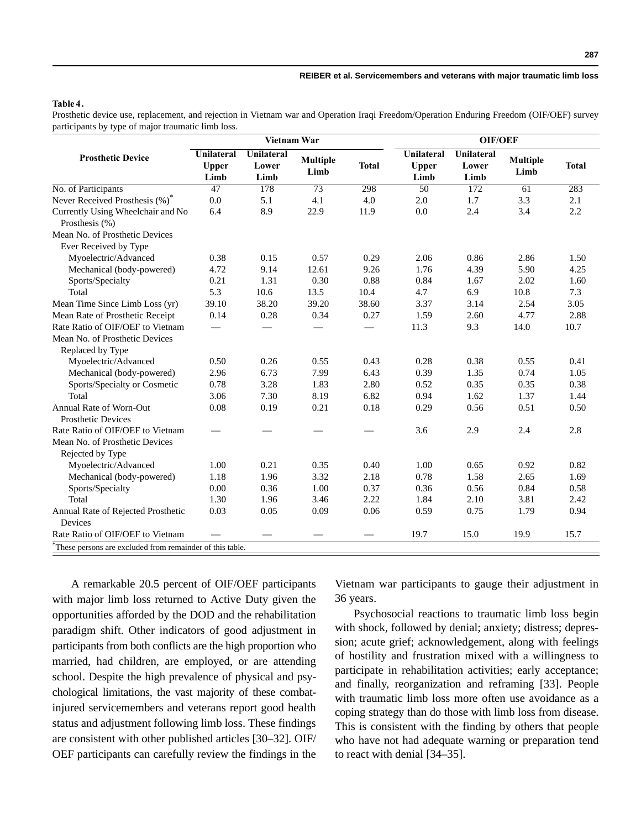# **Table 4.**

Prosthetic device use, replacement, and rejection in Vietnam war and Operation Iraqi Freedom/Operation Enduring Freedom (OIF/OEF) survey participants by type of major traumatic limb loss.

|                                                           |                                           | Vietnam War                 |                         |              | <b>OIF/OEF</b>                     |                                    |                         |              |  |
|-----------------------------------------------------------|-------------------------------------------|-----------------------------|-------------------------|--------------|------------------------------------|------------------------------------|-------------------------|--------------|--|
| <b>Prosthetic Device</b>                                  | <b>Unilateral</b><br><b>Upper</b><br>Limb | Unilateral<br>Lower<br>Limb | <b>Multiple</b><br>Limb | <b>Total</b> | <b>Unilateral</b><br>Upper<br>Limb | <b>Unilateral</b><br>Lower<br>Limb | <b>Multiple</b><br>Limb | <b>Total</b> |  |
| No. of Participants                                       | 47                                        | 178                         | 73                      | 298          | 50                                 | 172                                | 61                      | 283          |  |
| Never Received Prosthesis (%)*                            | 0.0                                       | 5.1                         | 4.1                     | 4.0          | 2.0                                | 1.7                                | 3.3                     | 2.1          |  |
| Currently Using Wheelchair and No<br>Prosthesis (%)       | 6.4                                       | 8.9                         | 22.9                    | 11.9         | 0.0                                | 2.4                                | 3.4                     | 2.2          |  |
| Mean No. of Prosthetic Devices                            |                                           |                             |                         |              |                                    |                                    |                         |              |  |
| Ever Received by Type                                     |                                           |                             |                         |              |                                    |                                    |                         |              |  |
| Myoelectric/Advanced                                      | 0.38                                      | 0.15                        | 0.57                    | 0.29         | 2.06                               | 0.86                               | 2.86                    | 1.50         |  |
| Mechanical (body-powered)                                 | 4.72                                      | 9.14                        | 12.61                   | 9.26         | 1.76                               | 4.39                               | 5.90                    | 4.25         |  |
| Sports/Specialty                                          | 0.21                                      | 1.31                        | 0.30                    | 0.88         | 0.84                               | 1.67                               | 2.02                    | 1.60         |  |
| Total                                                     | 5.3                                       | 10.6                        | 13.5                    | 10.4         | 4.7                                | 6.9                                | 10.8                    | 7.3          |  |
| Mean Time Since Limb Loss (yr)                            | 39.10                                     | 38.20                       | 39.20                   | 38.60        | 3.37                               | 3.14                               | 2.54                    | 3.05         |  |
| Mean Rate of Prosthetic Receipt                           | 0.14                                      | 0.28                        | 0.34                    | 0.27         | 1.59                               | 2.60                               | 4.77                    | 2.88         |  |
| Rate Ratio of OIF/OEF to Vietnam                          |                                           |                             |                         |              | 11.3                               | 9.3                                | 14.0                    | 10.7         |  |
| Mean No. of Prosthetic Devices                            |                                           |                             |                         |              |                                    |                                    |                         |              |  |
| Replaced by Type                                          |                                           |                             |                         |              |                                    |                                    |                         |              |  |
| Myoelectric/Advanced                                      | 0.50                                      | 0.26                        | 0.55                    | 0.43         | 0.28                               | 0.38                               | 0.55                    | 0.41         |  |
| Mechanical (body-powered)                                 | 2.96                                      | 6.73                        | 7.99                    | 6.43         | 0.39                               | 1.35                               | 0.74                    | 1.05         |  |
| Sports/Specialty or Cosmetic                              | 0.78                                      | 3.28                        | 1.83                    | 2.80         | 0.52                               | 0.35                               | 0.35                    | 0.38         |  |
| Total                                                     | 3.06                                      | 7.30                        | 8.19                    | 6.82         | 0.94                               | 1.62                               | 1.37                    | 1.44         |  |
| Annual Rate of Worn-Out                                   | 0.08                                      | 0.19                        | 0.21                    | 0.18         | 0.29                               | 0.56                               | 0.51                    | 0.50         |  |
| <b>Prosthetic Devices</b>                                 |                                           |                             |                         |              |                                    |                                    |                         |              |  |
| Rate Ratio of OIF/OEF to Vietnam                          |                                           |                             |                         |              | 3.6                                | 2.9                                | 2.4                     | 2.8          |  |
| Mean No. of Prosthetic Devices                            |                                           |                             |                         |              |                                    |                                    |                         |              |  |
| Rejected by Type                                          |                                           |                             |                         |              |                                    |                                    |                         |              |  |
| Myoelectric/Advanced                                      | 1.00                                      | 0.21                        | 0.35                    | 0.40         | 1.00                               | 0.65                               | 0.92                    | 0.82         |  |
| Mechanical (body-powered)                                 | 1.18                                      | 1.96                        | 3.32                    | 2.18         | 0.78                               | 1.58                               | 2.65                    | 1.69         |  |
| Sports/Specialty                                          | 0.00                                      | 0.36                        | 1.00                    | 0.37         | 0.36                               | 0.56                               | 0.84                    | 0.58         |  |
| Total                                                     | 1.30                                      | 1.96                        | 3.46                    | 2.22         | 1.84                               | 2.10                               | 3.81                    | 2.42         |  |
| Annual Rate of Rejected Prosthetic                        | 0.03                                      | 0.05                        | 0.09                    | 0.06         | 0.59                               | 0.75                               | 1.79                    | 0.94         |  |
| Devices                                                   |                                           |                             |                         |              |                                    |                                    |                         |              |  |
| Rate Ratio of OIF/OEF to Vietnam                          |                                           |                             |                         |              | 19.7                               | 15.0                               | 19.9                    | 15.7         |  |
| *These persons are excluded from remainder of this table. |                                           |                             |                         |              |                                    |                                    |                         |              |  |

A remarkable 20.5 percent of OIF/OEF participants with major limb loss returned to Active Duty given the opportunities afforded by the DOD and the rehabilitation paradigm shift. Other indicators of good adjustment in participants from both conflicts are the high proportion who married, had children, are employed, or are attending school. Despite the high prevalence of physical and psychological limitations, the vast majority of these combatinjured servicemembers and veterans report good health status and adjustment following limb loss. These findings are consistent with other published articles [30–32]. OIF/ OEF participants can carefully review the findings in the Vietnam war participants to gauge their adjustment in 36 years.

Psychosocial reactions to traumatic limb loss begin with shock, followed by denial; anxiety; distress; depression; acute grief; acknowledgement, along with feelings of hostility and frustration mixed with a willingness to participate in rehabilitation activities; early acceptance; and finally, reorganization and reframing [33]. People with traumatic limb loss more often use avoidance as a coping strategy than do those with limb loss from disease. This is consistent with the finding by others that people who have not had adequate warning or preparation tend to react with denial [34–35].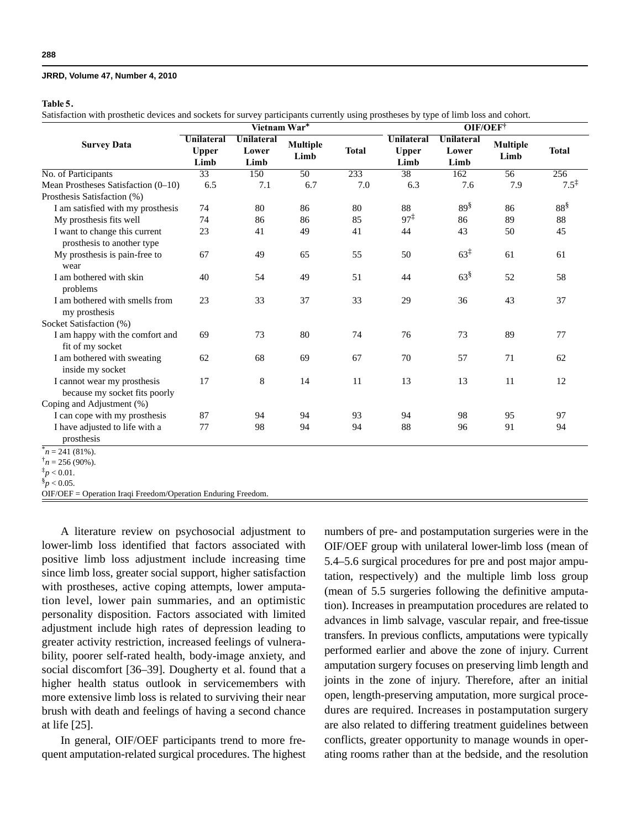### **Table 5.**

Satisfaction with prosthetic devices and sockets for survey participants currently using prostheses by type of limb loss and cohort.

|                                                              |                             | Vietnam War*                |                         |              | OIF/OEF <sup>†</sup>               |                                    |                         |                  |
|--------------------------------------------------------------|-----------------------------|-----------------------------|-------------------------|--------------|------------------------------------|------------------------------------|-------------------------|------------------|
| <b>Survey Data</b>                                           | Unilateral<br>Upper<br>Limb | Unilateral<br>Lower<br>Limb | <b>Multiple</b><br>Limb | <b>Total</b> | Unilateral<br><b>Upper</b><br>Limb | <b>Unilateral</b><br>Lower<br>Limb | <b>Multiple</b><br>Limb | <b>Total</b>     |
| No. of Participants                                          | 33                          | 150                         | 50                      | 233          | 38                                 | 162                                | 56                      | 256              |
| Mean Prostheses Satisfaction (0-10)                          | 6.5                         | 7.1                         | 6.7                     | 7.0          | 6.3                                | 7.6                                | 7.9                     | $7.5^{\ddagger}$ |
| Prosthesis Satisfaction (%)                                  |                             |                             |                         |              |                                    |                                    |                         |                  |
| I am satisfied with my prosthesis                            | 74                          | 80                          | 86                      | 80           | 88                                 | 89 <sup>§</sup>                    | 86                      | 88 <sup>§</sup>  |
| My prosthesis fits well                                      | 74                          | 86                          | 86                      | 85           | $97^{\ddagger}$                    | 86                                 | 89                      | 88               |
| I want to change this current<br>prosthesis to another type  | 23                          | 41                          | 49                      | 41           | 44                                 | 43                                 | 50                      | 45               |
| My prosthesis is pain-free to<br>wear                        | 67                          | 49                          | 65                      | 55           | 50                                 | $63^{\ddagger}$                    | 61                      | 61               |
| I am bothered with skin<br>problems                          | 40                          | 54                          | 49                      | 51           | 44                                 | 63 <sup>§</sup>                    | 52                      | 58               |
| I am bothered with smells from<br>my prosthesis              | 23                          | 33                          | 37                      | 33           | 29                                 | 36                                 | 43                      | 37               |
| Socket Satisfaction (%)                                      |                             |                             |                         |              |                                    |                                    |                         |                  |
| I am happy with the comfort and<br>fit of my socket          | 69                          | 73                          | 80                      | 74           | 76                                 | 73                                 | 89                      | 77               |
| I am bothered with sweating<br>inside my socket              | 62                          | 68                          | 69                      | 67           | 70                                 | 57                                 | 71                      | 62               |
| I cannot wear my prosthesis<br>because my socket fits poorly | 17                          | $\,8\,$                     | 14                      | 11           | 13                                 | 13                                 | 11                      | 12               |
| Coping and Adjustment (%)                                    |                             |                             |                         |              |                                    |                                    |                         |                  |
| I can cope with my prosthesis                                | 87                          | 94                          | 94                      | 93           | 94                                 | 98                                 | 95                      | 97               |
| I have adjusted to life with a<br>prosthesis                 | 77                          | 98                          | 94                      | 94           | 88                                 | 96                                 | 91                      | 94               |
| $n = 241 (81\%).$<br>$A = 2000000$                           |                             |                             |                         |              |                                    |                                    |                         |                  |

 $\bar{f}$  *n* = 256 (90%).

 $\frac{1}{4}p < 0.01$ .

 $\sqrt[8]{p}$  < 0.05.

OIF/OEF = Operation Iraqi Freedom/Operation Enduring Freedom.

A literature review on psychosocial adjustment to lower-limb loss identified that factors associated with positive limb loss adjustment include increasing time since limb loss, greater social support, higher satisfaction with prostheses, active coping attempts, lower amputation level, lower pain summaries, and an optimistic personality disposition. Factors associated with limited adjustment include high rates of depression leading to greater activity restriction, increased feelings of vulnerability, poorer self-rated health, body-image anxiety, and social discomfort [36–39]. Dougherty et al. found that a higher health status outlook in servicemembers with more extensive limb loss is related to surviving their near brush with death and feelings of having a second chance at life [25].

In general, OIF/OEF participants trend to more frequent amputation-related surgical procedures. The highest numbers of pre- and postamputation surgeries were in the OIF/OEF group with unilateral lower-limb loss (mean of 5.4–5.6 surgical procedures for pre and post major amputation, respectively) and the multiple limb loss group (mean of 5.5 surgeries following the definitive amputation). Increases in preamputation procedures are related to advances in limb salvage, vascular repair, and free-tissue transfers. In previous conflicts, amputations were typically performed earlier and above the zone of injury. Current amputation surgery focuses on preserving limb length and joints in the zone of injury. Therefore, after an initial open, length-preserving amputation, more surgical procedures are required. Increases in postamputation surgery are also related to differing treatment guidelines between conflicts, greater opportunity to manage wounds in operating rooms rather than at the bedside, and the resolution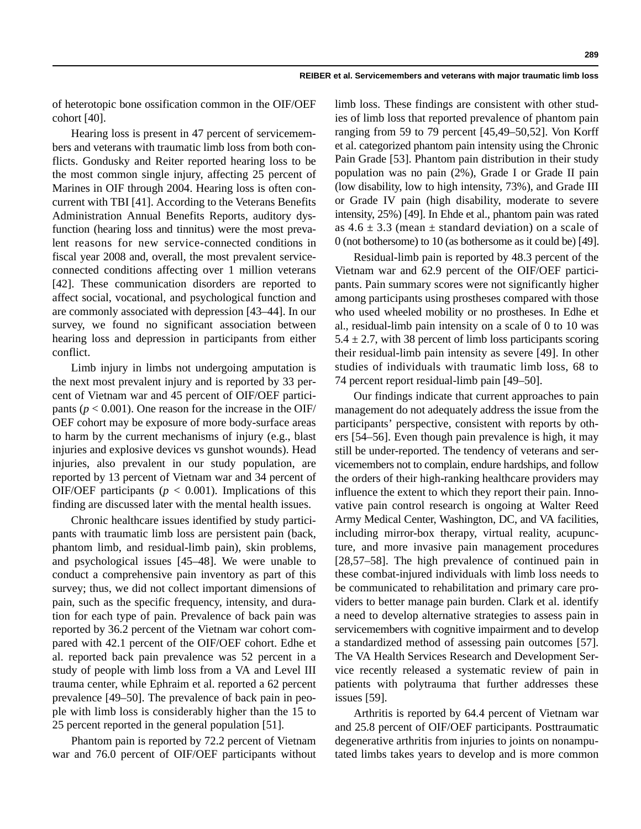of heterotopic bone ossification common in the OIF/OEF cohort [40].

Hearing loss is present in 47 percent of servicemembers and veterans with traumatic limb loss from both conflicts. Gondusky and Reiter reported hearing loss to be the most common single injury, affecting 25 percent of Marines in OIF through 2004. Hearing loss is often concurrent with TBI [41]. According to the Veterans Benefits Administration Annual Benefits Reports, auditory dysfunction (hearing loss and tinnitus) were the most prevalent reasons for new service-connected conditions in fiscal year 2008 and, overall, the most prevalent serviceconnected conditions affecting over 1 million veterans [42]. These communication disorders are reported to affect social, vocational, and psychological function and are commonly associated with depression [43–44]. In our survey, we found no significant association between hearing loss and depression in participants from either conflict.

Limb injury in limbs not undergoing amputation is the next most prevalent injury and is reported by 33 percent of Vietnam war and 45 percent of OIF/OEF participants ( $p < 0.001$ ). One reason for the increase in the OIF/ OEF cohort may be exposure of more body-surface areas to harm by the current mechanisms of injury (e.g., blast injuries and explosive devices vs gunshot wounds). Head injuries, also prevalent in our study population, are reported by 13 percent of Vietnam war and 34 percent of OIF/OEF participants ( $p < 0.001$ ). Implications of this finding are discussed later with the mental health issues.

Chronic healthcare issues identified by study participants with traumatic limb loss are persistent pain (back, phantom limb, and residual-limb pain), skin problems, and psychological issues [45–48]. We were unable to conduct a comprehensive pain inventory as part of this survey; thus, we did not collect important dimensions of pain, such as the specific frequency, intensity, and duration for each type of pain. Prevalence of back pain was reported by 36.2 percent of the Vietnam war cohort compared with 42.1 percent of the OIF/OEF cohort. Edhe et al. reported back pain prevalence was 52 percent in a study of people with limb loss from a VA and Level III trauma center, while Ephraim et al. reported a 62 percent prevalence [49–50]. The prevalence of back pain in people with limb loss is considerably higher than the 15 to 25 percent reported in the general population [51].

Phantom pain is reported by 72.2 percent of Vietnam war and 76.0 percent of OIF/OEF participants without limb loss. These findings are consistent with other studies of limb loss that reported prevalence of phantom pain ranging from 59 to 79 percent [45,49–50,52]. Von Korff et al. categorized phantom pain intensity using the Chronic Pain Grade [53]. Phantom pain distribution in their study population was no pain (2%), Grade I or Grade II pain (low disability, low to high intensity, 73%), and Grade III or Grade IV pain (high disability, moderate to severe intensity, 25%) [49]. In Ehde et al., phantom pain was rated as  $4.6 \pm 3.3$  (mean  $\pm$  standard deviation) on a scale of 0 (not bothersome) to 10 (as bothersome as it could be) [49].

Residual-limb pain is reported by 48.3 percent of the Vietnam war and 62.9 percent of the OIF/OEF participants. Pain summary scores were not significantly higher among participants using prostheses compared with those who used wheeled mobility or no prostheses. In Edhe et al., residual-limb pain intensity on a scale of 0 to 10 was  $5.4 \pm 2.7$ , with 38 percent of limb loss participants scoring their residual-limb pain intensity as severe [49]. In other studies of individuals with traumatic limb loss, 68 to 74 percent report residual-limb pain [49–50].

Our findings indicate that current approaches to pain management do not adequately address the issue from the participants' perspective, consistent with reports by others [54–56]. Even though pain prevalence is high, it may still be under-reported. The tendency of veterans and servicemembers not to complain, endure hardships, and follow the orders of their high-ranking healthcare providers may influence the extent to which they report their pain. Innovative pain control research is ongoing at Walter Reed Army Medical Center, Washington, DC, and VA facilities, including mirror-box therapy, virtual reality, acupuncture, and more invasive pain management procedures [28,57–58]. The high prevalence of continued pain in these combat-injured individuals with limb loss needs to be communicated to rehabilitation and primary care providers to better manage pain burden. Clark et al. identify a need to develop alternative strategies to assess pain in servicemembers with cognitive impairment and to develop a standardized method of assessing pain outcomes [57]. The VA Health Services Research and Development Service recently released a systematic review of pain in patients with polytrauma that further addresses these issues [59].

Arthritis is reported by 64.4 percent of Vietnam war and 25.8 percent of OIF/OEF participants. Posttraumatic degenerative arthritis from injuries to joints on nonamputated limbs takes years to develop and is more common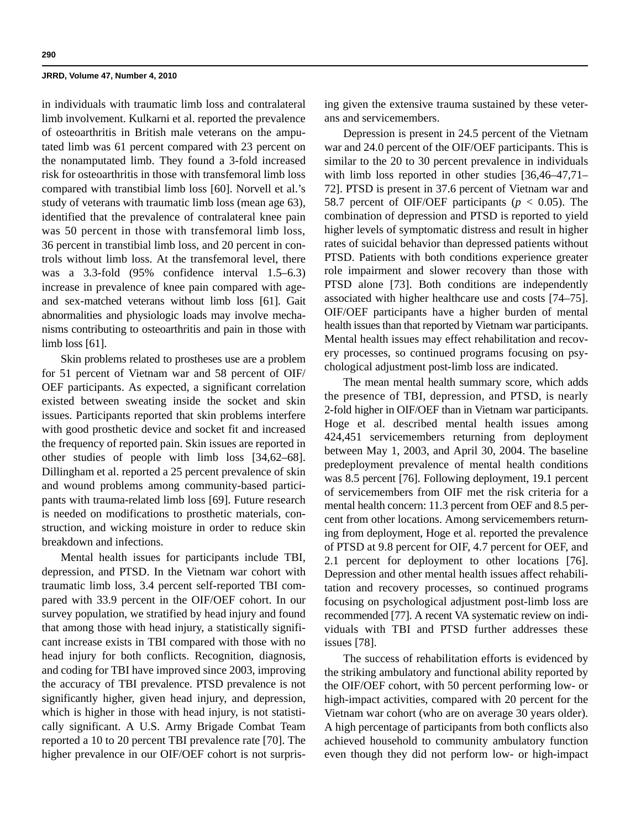in individuals with traumatic limb loss and contralateral limb involvement. Kulkarni et al. reported the prevalence of osteoarthritis in British male veterans on the amputated limb was 61 percent compared with 23 percent on the nonamputated limb. They found a 3-fold increased risk for osteoarthritis in those with transfemoral limb loss compared with transtibial limb loss [60]. Norvell et al.'s study of veterans with traumatic limb loss (mean age 63), identified that the prevalence of contralateral knee pain was 50 percent in those with transfemoral limb loss, 36 percent in transtibial limb loss, and 20 percent in controls without limb loss. At the transfemoral level, there was a 3.3-fold (95% confidence interval 1.5–6.3) increase in prevalence of knee pain compared with ageand sex-matched veterans without limb loss [61]. Gait abnormalities and physiologic loads may involve mechanisms contributing to osteoarthritis and pain in those with limb loss [61].

Skin problems related to prostheses use are a problem for 51 percent of Vietnam war and 58 percent of OIF/ OEF participants. As expected, a significant correlation existed between sweating inside the socket and skin issues. Participants reported that skin problems interfere with good prosthetic device and socket fit and increased the frequency of reported pain. Skin issues are reported in other studies of people with limb loss [34,62–68]. Dillingham et al. reported a 25 percent prevalence of skin and wound problems among community-based participants with trauma-related limb loss [69]. Future research is needed on modifications to prosthetic materials, construction, and wicking moisture in order to reduce skin breakdown and infections.

Mental health issues for participants include TBI, depression, and PTSD. In the Vietnam war cohort with traumatic limb loss, 3.4 percent self-reported TBI compared with 33.9 percent in the OIF/OEF cohort. In our survey population, we stratified by head injury and found that among those with head injury, a statistically significant increase exists in TBI compared with those with no head injury for both conflicts. Recognition, diagnosis, and coding for TBI have improved since 2003, improving the accuracy of TBI prevalence. PTSD prevalence is not significantly higher, given head injury, and depression, which is higher in those with head injury, is not statistically significant. A U.S. Army Brigade Combat Team reported a 10 to 20 percent TBI prevalence rate [70]. The higher prevalence in our OIF/OEF cohort is not surprising given the extensive trauma sustained by these veterans and servicemembers.

Depression is present in 24.5 percent of the Vietnam war and 24.0 percent of the OIF/OEF participants. This is similar to the 20 to 30 percent prevalence in individuals with limb loss reported in other studies [36,46–47,71– 72]. PTSD is present in 37.6 percent of Vietnam war and 58.7 percent of OIF/OEF participants ( $p < 0.05$ ). The combination of depression and PTSD is reported to yield higher levels of symptomatic distress and result in higher rates of suicidal behavior than depressed patients without PTSD. Patients with both conditions experience greater role impairment and slower recovery than those with PTSD alone [73]. Both conditions are independently associated with higher healthcare use and costs [74–75]. OIF/OEF participants have a higher burden of mental health issues than that reported by Vietnam war participants. Mental health issues may effect rehabilitation and recovery processes, so continued programs focusing on psychological adjustment post-limb loss are indicated.

The mean mental health summary score, which adds the presence of TBI, depression, and PTSD, is nearly 2-fold higher in OIF/OEF than in Vietnam war participants. Hoge et al. described mental health issues among 424,451 servicemembers returning from deployment between May 1, 2003, and April 30, 2004. The baseline predeployment prevalence of mental health conditions was 8.5 percent [76]. Following deployment, 19.1 percent of servicemembers from OIF met the risk criteria for a mental health concern: 11.3 percent from OEF and 8.5 percent from other locations. Among servicemembers returning from deployment, Hoge et al. reported the prevalence of PTSD at 9.8 percent for OIF, 4.7 percent for OEF, and 2.1 percent for deployment to other locations [76]. Depression and other mental health issues affect rehabilitation and recovery processes, so continued programs focusing on psychological adjustment post-limb loss are recommended [77]. A recent VA systematic review on individuals with TBI and PTSD further addresses these issues [78].

The success of rehabilitation efforts is evidenced by the striking ambulatory and functional ability reported by the OIF/OEF cohort, with 50 percent performing low- or high-impact activities, compared with 20 percent for the Vietnam war cohort (who are on average 30 years older). A high percentage of participants from both conflicts also achieved household to community ambulatory function even though they did not perform low- or high-impact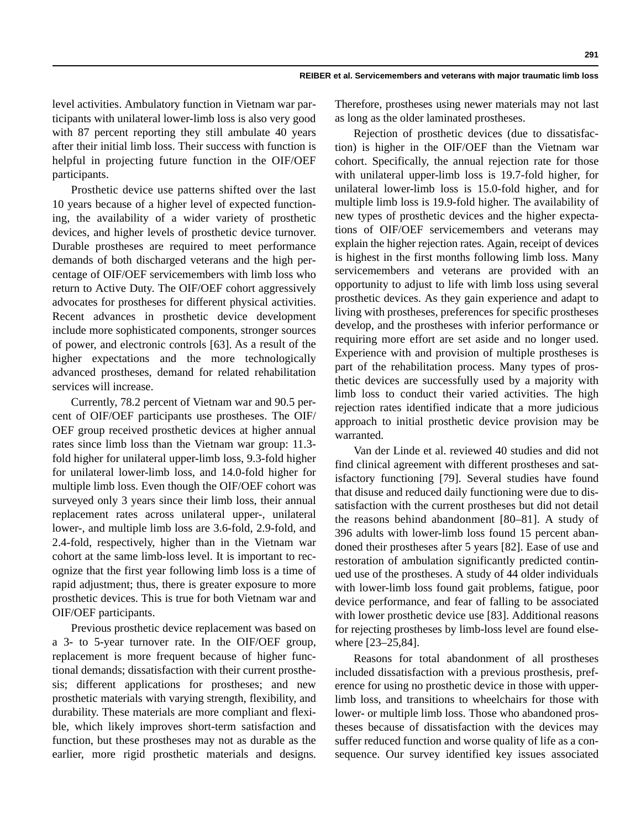level activities. Ambulatory function in Vietnam war participants with unilateral lower-limb loss is also very good with 87 percent reporting they still ambulate 40 years after their initial limb loss. Their success with function is helpful in projecting future function in the OIF/OEF participants.

Prosthetic device use patterns shifted over the last 10 years because of a higher level of expected functioning, the availability of a wider variety of prosthetic devices, and higher levels of prosthetic device turnover. Durable prostheses are required to meet performance demands of both discharged veterans and the high percentage of OIF/OEF servicemembers with limb loss who return to Active Duty. The OIF/OEF cohort aggressively advocates for prostheses for different physical activities. Recent advances in prosthetic device development include more sophisticated components, stronger sources of power, and electronic controls [63]. As a result of the higher expectations and the more technologically advanced prostheses, demand for related rehabilitation services will increase.

Currently, 78.2 percent of Vietnam war and 90.5 percent of OIF/OEF participants use prostheses. The OIF/ OEF group received prosthetic devices at higher annual rates since limb loss than the Vietnam war group: 11.3 fold higher for unilateral upper-limb loss, 9.3-fold higher for unilateral lower-limb loss, and 14.0-fold higher for multiple limb loss. Even though the OIF/OEF cohort was surveyed only 3 years since their limb loss, their annual replacement rates across unilateral upper-, unilateral lower-, and multiple limb loss are 3.6-fold, 2.9-fold, and 2.4-fold, respectively, higher than in the Vietnam war cohort at the same limb-loss level. It is important to recognize that the first year following limb loss is a time of rapid adjustment; thus, there is greater exposure to more prosthetic devices. This is true for both Vietnam war and OIF/OEF participants.

Previous prosthetic device replacement was based on a 3- to 5-year turnover rate. In the OIF/OEF group, replacement is more frequent because of higher functional demands; dissatisfaction with their current prosthesis; different applications for prostheses; and new prosthetic materials with varying strength, flexibility, and durability. These materials are more compliant and flexible, which likely improves short-term satisfaction and function, but these prostheses may not as durable as the earlier, more rigid prosthetic materials and designs.

Therefore, prostheses using newer materials may not last as long as the older laminated prostheses.

Rejection of prosthetic devices (due to dissatisfaction) is higher in the OIF/OEF than the Vietnam war cohort. Specifically, the annual rejection rate for those with unilateral upper-limb loss is 19.7-fold higher, for unilateral lower-limb loss is 15.0-fold higher, and for multiple limb loss is 19.9-fold higher. The availability of new types of prosthetic devices and the higher expectations of OIF/OEF servicemembers and veterans may explain the higher rejection rates. Again, receipt of devices is highest in the first months following limb loss. Many servicemembers and veterans are provided with an opportunity to adjust to life with limb loss using several prosthetic devices. As they gain experience and adapt to living with prostheses, preferences for specific prostheses develop, and the prostheses with inferior performance or requiring more effort are set aside and no longer used. Experience with and provision of multiple prostheses is part of the rehabilitation process. Many types of prosthetic devices are successfully used by a majority with limb loss to conduct their varied activities. The high rejection rates identified indicate that a more judicious approach to initial prosthetic device provision may be warranted.

Van der Linde et al. reviewed 40 studies and did not find clinical agreement with different prostheses and satisfactory functioning [79]. Several studies have found that disuse and reduced daily functioning were due to dissatisfaction with the current prostheses but did not detail the reasons behind abandonment [80–81]. A study of 396 adults with lower-limb loss found 15 percent abandoned their prostheses after 5 years [82]. Ease of use and restoration of ambulation significantly predicted continued use of the prostheses. A study of 44 older individuals with lower-limb loss found gait problems, fatigue, poor device performance, and fear of falling to be associated with lower prosthetic device use [83]. Additional reasons for rejecting prostheses by limb-loss level are found elsewhere [23–25,84].

Reasons for total abandonment of all prostheses included dissatisfaction with a previous prosthesis, preference for using no prosthetic device in those with upperlimb loss, and transitions to wheelchairs for those with lower- or multiple limb loss. Those who abandoned prostheses because of dissatisfaction with the devices may suffer reduced function and worse quality of life as a consequence. Our survey identified key issues associated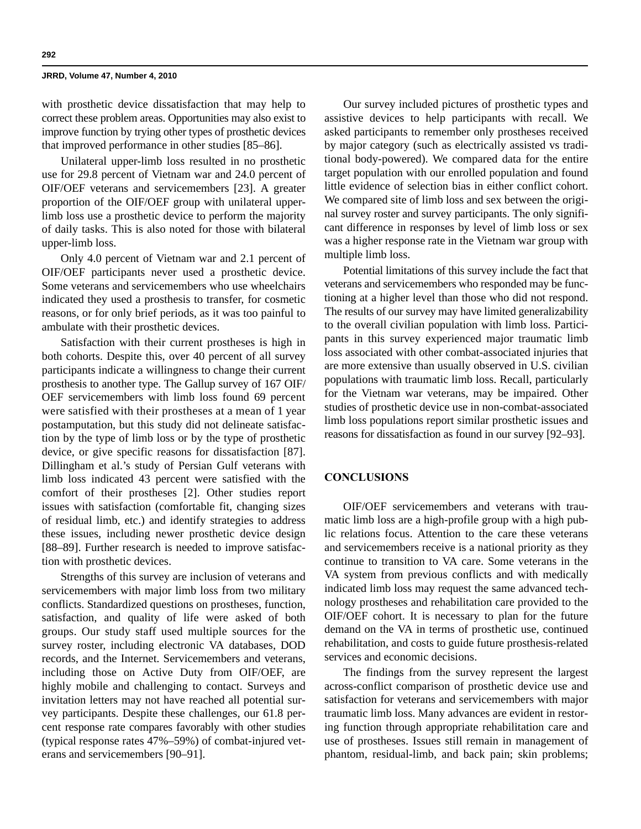with prosthetic device dissatisfaction that may help to correct these problem areas. Opportunities may also exist to improve function by trying other types of prosthetic devices that improved performance in other studies [85–86].

Unilateral upper-limb loss resulted in no prosthetic use for 29.8 percent of Vietnam war and 24.0 percent of OIF/OEF veterans and servicemembers [23]. A greater proportion of the OIF/OEF group with unilateral upperlimb loss use a prosthetic device to perform the majority of daily tasks. This is also noted for those with bilateral upper-limb loss.

Only 4.0 percent of Vietnam war and 2.1 percent of OIF/OEF participants never used a prosthetic device. Some veterans and servicemembers who use wheelchairs indicated they used a prosthesis to transfer, for cosmetic reasons, or for only brief periods, as it was too painful to ambulate with their prosthetic devices.

Satisfaction with their current prostheses is high in both cohorts. Despite this, over 40 percent of all survey participants indicate a willingness to change their current prosthesis to another type. The Gallup survey of 167 OIF/ OEF servicemembers with limb loss found 69 percent were satisfied with their prostheses at a mean of 1 year postamputation, but this study did not delineate satisfaction by the type of limb loss or by the type of prosthetic device, or give specific reasons for dissatisfaction [87]. Dillingham et al.'s study of Persian Gulf veterans with limb loss indicated 43 percent were satisfied with the comfort of their prostheses [2]. Other studies report issues with satisfaction (comfortable fit, changing sizes of residual limb, etc.) and identify strategies to address these issues, including newer prosthetic device design [88–89]. Further research is needed to improve satisfaction with prosthetic devices.

Strengths of this survey are inclusion of veterans and servicemembers with major limb loss from two military conflicts. Standardized questions on prostheses, function, satisfaction, and quality of life were asked of both groups. Our study staff used multiple sources for the survey roster, including electronic VA databases, DOD records, and the Internet. Servicemembers and veterans, including those on Active Duty from OIF/OEF, are highly mobile and challenging to contact. Surveys and invitation letters may not have reached all potential survey participants. Despite these challenges, our 61.8 percent response rate compares favorably with other studies (typical response rates 47%–59%) of combat-injured veterans and servicemembers [90–91].

Our survey included pictures of prosthetic types and assistive devices to help participants with recall. We asked participants to remember only prostheses received by major category (such as electrically assisted vs traditional body-powered). We compared data for the entire target population with our enrolled population and found little evidence of selection bias in either conflict cohort. We compared site of limb loss and sex between the original survey roster and survey participants. The only significant difference in responses by level of limb loss or sex was a higher response rate in the Vietnam war group with multiple limb loss.

Potential limitations of this survey include the fact that veterans and servicemembers who responded may be functioning at a higher level than those who did not respond. The results of our survey may have limited generalizability to the overall civilian population with limb loss. Participants in this survey experienced major traumatic limb loss associated with other combat-associated injuries that are more extensive than usually observed in U.S. civilian populations with traumatic limb loss. Recall, particularly for the Vietnam war veterans, may be impaired. Other studies of prosthetic device use in non-combat-associated limb loss populations report similar prosthetic issues and reasons for dissatisfaction as found in our survey [92–93].

# **CONCLUSIONS**

OIF/OEF servicemembers and veterans with traumatic limb loss are a high-profile group with a high public relations focus. Attention to the care these veterans and servicemembers receive is a national priority as they continue to transition to VA care. Some veterans in the VA system from previous conflicts and with medically indicated limb loss may request the same advanced technology prostheses and rehabilitation care provided to the OIF/OEF cohort. It is necessary to plan for the future demand on the VA in terms of prosthetic use, continued rehabilitation, and costs to guide future prosthesis-related services and economic decisions.

The findings from the survey represent the largest across-conflict comparison of prosthetic device use and satisfaction for veterans and servicemembers with major traumatic limb loss. Many advances are evident in restoring function through appropriate rehabilitation care and use of prostheses. Issues still remain in management of phantom, residual-limb, and back pain; skin problems;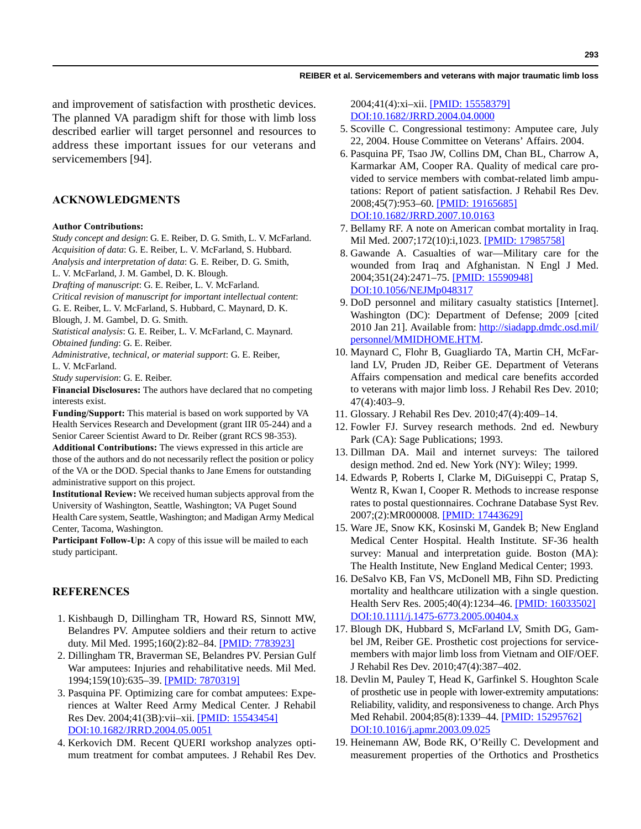and improvement of satisfaction with prosthetic devices. The planned VA paradigm shift for those with limb loss described earlier will target personnel and resources to address these important issues for our veterans and servicemembers [94].

# **ACKNOWLEDGMENTS**

#### **Author Contributions:**

*Study concept and design*: G . E. Reiber, D. G . Smith, L. V. McFarland. Acquisition of data: G. E. Reiber, L. V. McFarland, S. Hubbard.

*Analysis and interpretation of data*: G. E. Reiber, D. G. Smith, L. V. McFarland, J. M. Gambel, D. K. Blough.

*Drafting of manuscript*: G. E. Reiber, L. V. McFarland.

*Critical revision of manuscript for important intellectual content*:

G . E. Reiber, L. V. McFarland, S. Hubbard, C. Maynard, D. K. Blough, J. M. Gambel, D. G. Smith.

*Statistical analysis*: G . E. Reiber, L. V. McFarland, C. Maynard. *Obtained funding*: G. E. Reiber.

*Administrative, technical, or material support*: G. E. Reiber, L. V. McFarland.

*Study supervision*: G. E. Reiber.

**Financial Disclosures:** The authors have declared that no competing interests exist.

**Funding/Support:** This material is based on work supported by VA Health Services Research and Development (grant IIR 05-244) and a Senior Career Scientist Award to Dr. Reiber (grant RCS 98-353).

**Additional Contributions:** The views expressed in this article are those of the authors and do not necessarily reflect the position or policy of the VA or the DOD. Special thanks to Jane Emens for outstanding administrative support on this project.

**Institutional Review:** We received human subjects approval from the University of Washington, Seattle, Washington; VA Puget Sound Health Care system, Seattle, Washington; and Madigan Army Medical Center, Tacoma, Washington.

**Participant Follow-Up:** A copy of this issue will be mailed to each study participant.

# **REFERENCES**

- 1. Kishbaugh D, Dillingham TR, Howard RS, Sinnott MW, Belandres PV. Amputee soldiers and their return to active duty. Mil Med. 1995;160(2):82–84. [\[PMID: 7783923\]](http://www.ncbi.nlm.nih.gov/pubmed/7783923)
- 2. Dillingham TR, Braverman SE, Belandres PV. Persian Gulf War amputees: Injuries and rehabilitative needs. Mil Med. 1994;159(10):635–39. [\[PMID: 7870319\]](http://www.ncbi.nlm.nih.gov/pubmed/7870319)
- 3. Pasquina PF. Optimizing care for combat amputees: Experiences at Walter Reed Army Medical Center. J Rehabil Res Dev. 2004;41(3B):vii–xii. [\[PMID: 15543454\]](http://www.ncbi.nlm.nih.gov/pubmed/15543454) [D](http://www.ncbi.nlm.nih.gov/pubmed/15543454)[OI:10.1682/JRRD.2004.05.0051](http://dx.doi.org/10.1682/JRRD.2004.05.0051)
- 4. Kerkovich DM. Recent QUERI workshop analyzes optimum treatment for combat amputees. J Rehabil Res Dev.

2004;41(4):xi–xii. [\[PMID: 15558379\]](http://www.ncbi.nlm.nih.gov/pubmed/15558379) [DOI:10.1682/JRRD.2004.04.0000](http://dx.doi.org/10.1682/JRRD.2004.04.0000)

- 5. Scoville C. Congressional testimony: Amputee care, July 22, 2004. House Committee on Veterans' Affairs. 2004.
- 6. Pasquina PF, Tsao JW, Collins DM, Chan BL, Charrow A, Karmarkar AM, Cooper RA. Quality of medical care provided to service members with combat-related limb amputations: Report of patient satisfaction. J Rehabil Res Dev. 2008;45(7):953–60. [\[PMID: 19165685\]](http://www.ncbi.nlm.nih.gov/pubmed/19165685) [DOI:10.1682/JRRD.2007.10.0163](http://dx.doi.org/10.1682/JRRD.2007.10.0163)
- 7. Bellamy RF. A note on American combat mortality in Iraq. Mil Med. 2007;172(10):i,1023. [\[PMID: 17985758\]](http://www.ncbi.nlm.nih.gov/pubmed/17985758)
- 8. Gawande A. Casualties of war—Military care for the wounded from Iraq and Afghanistan. N Engl J Med. 2004;351(24):2471–75. [\[PMID: 15590948\]](http://www.ncbi.nlm.nih.gov/pubmed/15590948) [DOI:10.1056/NEJMp048317](http://dx.doi.org/10.1056/NEJMp048317)
- 9. DoD personnel and military casualty statistics [Internet]. Washington (DC): Department of Defense; 2009 [cited 2010 Jan 21]. Available from: [http://siadapp.dmdc.osd.mil/](http://siadapp.dmdc.osd.mil/personnel/MMIDHOME.HTM) [personnel/MMIDHOME.HTM](http://siadapp.dmdc.osd.mil/personnel/MMIDHOME.HTM).
- 10. Maynard C, Flohr B, Guagliardo TA, Martin CH, McFarland LV, Pruden JD, Reiber GE. Department of Veterans Affairs compensation and medical care benefits accorded to veterans with major limb loss. J Rehabil Res Dev. 2010; 47(4):403–9.
- 11. Glossary. J Rehabil Res Dev. 2010;47(4):409–14.
- 12. Fowler FJ. Survey research methods. 2nd ed. Newbury Park (CA): Sage Publications; 1993.
- 13. Dillman DA. Mail and internet surveys: The tailored design method. 2nd ed. New York (NY): Wiley; 1999.
- 14. Edwards P, Roberts I, Clarke M, DiGuiseppi C, Pratap S, Wentz R, Kwan I, Cooper R. Methods to increase response rates to postal questionnaires. Cochrane Database Syst Rev. 2007;(2):MR000008. **[PMID**: 17443629]
- 15. Ware JE, Snow KK, Kosinski M, Gandek B; New England Medical Center Hospital. Health Institute. SF-36 health survey: Manual and interpretation guide. Boston (MA): The Health Institute, New England Medical Center; 1993.
- 16. DeSalvo KB, Fan VS, McDonell MB, Fihn SD. Predicting mortality and healthcare utilization with a single question. Health Serv Res. 2005;40(4):1234–46. [\[PMID: 16033502\]](http://www.ncbi.nlm.nih.gov/pubmed/16033502) [D](http://www.ncbi.nlm.nih.gov/pubmed/16033502)[OI:10.1111/j.1475-6773.2005.00404.x](http://dx.doi.org/10.1111/j.1475-6773.2005.00404.x)
- 17. Blough DK, Hubbard S, McFarland LV, Smith DG, Gambel JM, Reiber GE. Prosthetic cost projections for servicemembers with major limb loss from Vietnam and OIF/OEF. J Rehabil Res Dev. 2010;47(4):387–402.
- 18. Devlin M, Pauley T, Head K, Garfinkel S. Houghton Scale of prosthetic use in people with lower-extremity amputations: Reliability, validity, and responsiveness to change. Arch Phys Med Rehabil. 2004;85(8):1339–44. [\[PMID: 15295762\]](http://www.ncbi.nlm.nih.gov/pubmed/15295762) [D](http://www.ncbi.nlm.nih.gov/pubmed/15295762)[OI:10.1016/j.apmr.2003.09.025](http://dx.doi.org/10.1016/j.apmr.2003.09.025)
- 19. Heinemann AW, Bode RK, O'Reilly C. Development and measurement properties of the Orthotics and Prosthetics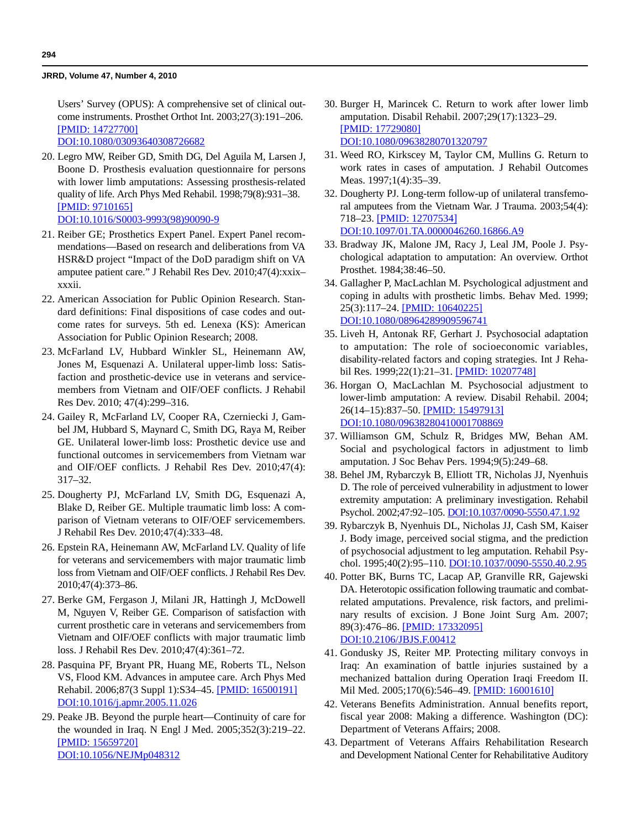Users' Survey (OPUS): A comprehensive set of clinical outcome instruments. Prosthet Orthot Int. 2003;27(3):191–206. [\[PMID: 14727700\]](http://www.ncbi.nlm.nih.gov/pubmed/14727700)

[DOI:10.1080/03093640308726682](http://dx.doi.org/10.1080/03093640308726682)

- 20. Legro MW, Reiber GD, Smith DG , Del Aguila M, Larsen J, Boone D. Prosthesis evaluation questionnaire for persons with lower limb amputations: Assessing prosthesis-related quality of life. Arch Phys Med Rehabil. 1998;79(8):931–38. [\[PMID: 9710165\]](http://www.ncbi.nlm.nih.gov/pubmed/9710165) [DOI:10.1016/S0003-9993\(98\)90090-9](http://dx.doi.org/10.1016/S0003-9993%2898%2990090-9)
- 21. Reiber GE; Prosthetics Expert Panel. Expert Panel recommendations—Based on research and deliberations from VA HSR&D project "Impact of the DoD paradigm shift on VA amputee patient care." J Rehabil Res Dev. 2010;47(4):xxix– xxxii.
- 22. American Association for Public Opinion Research. Standard definitions: Final dispositions of case codes and outcome rates for surveys. 5th ed. Lenexa (KS): American Association for Public Opinion Research; 2008.
- 23. McFarland LV, Hubbard Winkler SL, Heinemann AW, Jones M, Esquenazi A. Unilateral upper-limb loss: Satisfaction and prosthetic-device use in veterans and servicemembers from Vietnam and OIF/OEF conflicts. J Rehabil Res Dev. 2010; 47(4):299–316.
- 24. Gailey R, McFarland LV, Cooper RA, Czerniecki J, Gambel JM, Hubbard S, Maynard C, Smith DG, Raya M, Reiber GE. Unilateral lower-limb loss: Prosthetic device use and functional outcomes in servicemembers from Vietnam war and OIF/OEF conflicts. J Rehabil Res Dev. 2010;47(4): 317–32.
- 25. Dougherty PJ, McFarland LV, Smith DG, Esquenazi A, Blake D, Reiber GE. Multiple traumatic limb loss: A comparison of Vietnam veterans to OIF/OEF servicemembers. J Rehabil Res Dev. 2010;47(4):333–48.
- 26. Epstein RA, Heinemann AW, McFarland LV. Quality of life for veterans and servicemembers with major traumatic limb loss from Vietnam and OIF/OEF conflicts. J Rehabil Res Dev. 2010;47(4):373–86.
- 27. Berke GM, Fergason J, Milani JR, Hattingh J, McDowell M, Nguyen V, Reiber GE. Comparison of satisfaction with current prosthetic care in veterans and servicemembers from Vietnam and OIF/OEF conflicts with major traumatic limb loss. J Rehabil Res Dev. 2010;47(4):361–72.
- 28. Pasquina PF, Bryant PR, Huang ME, Roberts TL, Nelson VS, Flood KM. Advances in amputee care. Arch Phys Med Rehabil. 2006;87(3 Suppl 1):S34–45. [\[PMID: 16500191\]](http://www.ncbi.nlm.nih.gov/pubmed/16500191) [D](http://www.ncbi.nlm.nih.gov/pubmed/16500191)[OI:10.1016/j.apmr.2005.11.026](http://dx.doi.org/10.1016/j.apmr.2005.11.026)
- 29. Peake JB. Beyond the purple heart—Continuity of care for the wounded in Iraq. N Engl J Med. 2005;352(3):219–22. [\[PMID: 15659720\]](http://www.ncbi.nlm.nih.gov/pubmed/15659720) [DOI:10.1056/NEJMp048312](http://dx.doi.org/10.1056/NEJMp048312)
- 30. Burger H, Marincek C. Return to work after lower limb amputation. Disabil Rehabil. 2007;29(17):1323–29. [\[PMID: 17729080\]](http://www.ncbi.nlm.nih.gov/pubmed/17729080) [DOI:10.1080/09638280701320797](http://dx.doi.org/10.1080/09638280701320797)
- 31. Weed RO, Kirkscey M, Taylor CM, Mullins G . Return to work rates in cases of amputation. J Rehabil Outcomes Meas. 1997;1(4):35–39.
- 32. Dougherty PJ. Long-term follow-up of unilateral transfemoral amputees from the Vietnam War. J Trauma. 2003;54(4): 718–23. [\[PMID: 12707534\]](http://www.ncbi.nlm.nih.gov/pubmed/12707534) [DOI:10.1097/01.TA.0000046260.16866.A9](http://dx.doi.org/10.1097/01.TA.0000046260.16866.A9)
- 33. Bradway JK, Malone JM, Racy J, Leal JM, Poole J. Psychological adaptation to amputation: An overview. Orthot Prosthet. 1984;38:46–50.
- 34. Gallagher P, MacLachlan M. Psychological adjustment and coping in adults with prosthetic limbs. Behav Med. 1999; 25(3):117–24. [\[PMID: 10640225\]](http://www.ncbi.nlm.nih.gov/pubmed/10640225) [DOI:10.1080/08964289909596741](http://dx.doi.org/10.1080/08964289909596741)
- 35. Liveh H, Antonak RF, Gerhart J. Psychosocial adaptation to amputation: The role of socioeconomic variables, disability-related factors and coping strategies. Int J Rehabil Res. 1999;22(1):21–31. [\[PMID: 10207748\]](http://www.ncbi.nlm.nih.gov/pubmed/10207748)
- 36. Horgan O, MacLachlan M. Psychosocial adjustment to lower-limb amputation: A review. Disabil Rehabil. 2004; 26(14–15):837–50. [\[PMID: 15497913\]](http://www.ncbi.nlm.nih.gov/pubmed/15497913) [DOI:10.1080/09638280410001708869](http://dx.doi.org/10.1080/09638280410001708869)
- 37. Williamson GM, Schulz R, Bridges MW, Behan AM. Social and psychological factors in adjustment to limb amputation. J Soc Behav Pers. 1994;9(5):249–68.
- 38. Behel JM, Rybarczyk B, Elliott TR, Nicholas JJ, Nyenhuis D. The role of perceived vulnerability in adjustment to lower extremity amputation: A preliminary investigation. Rehabil Psychol. 2002;47:92–105. [DOI:10.1037/0090-5550.47.1.92](http://dx.doi.org/10.1037/0090-5550.47.1.92)
- 39. Rybarczyk B, Nyenhuis DL, Nicholas JJ, Cash SM, Kaiser J. Body image, perceived social stigma, and the prediction of psychosocial adjustment to leg amputation. Rehabil Psychol. 1995;40(2):95–110. [DOI:10.1037/0090-5550.40.2.95](http://dx.doi.org/10.1037/0090-5550.40.2.95)
- 40. Potter BK, Burns TC, Lacap AP, Granville RR, Gajewski DA. Heterotopic ossification following traumatic and combatrelated amputations. Prevalence, risk factors, and preliminary results of excision. J Bone Joint Surg Am. 2007; 89(3):476–86. [\[PMID: 17332095\]](http://www.ncbi.nlm.nih.gov/pubmed/17332095) [DOI:10.2106/JBJS.F.00412](http://dx.doi.org/10.2106/JBJS.F.00412)
- 41. Gondusky JS, Reiter MP. Protecting military convoys in Iraq: An examination of battle injuries sustained by a mechanized battalion during Operation Iraqi Freedom II. Mil Med. 2005;170(6):546–49. [\[PMID: 16001610\]](http://www.ncbi.nlm.nih.gov/pubmed/16001610)
- 42. Veterans Benefits Administration. Annual benefits report, fiscal year 2008: Making a difference. Washington (DC): Department of Veterans Affairs; 2008.
- 43. Department of Veterans Affairs Rehabilitation Research and Development National Center for Rehabilitative Auditory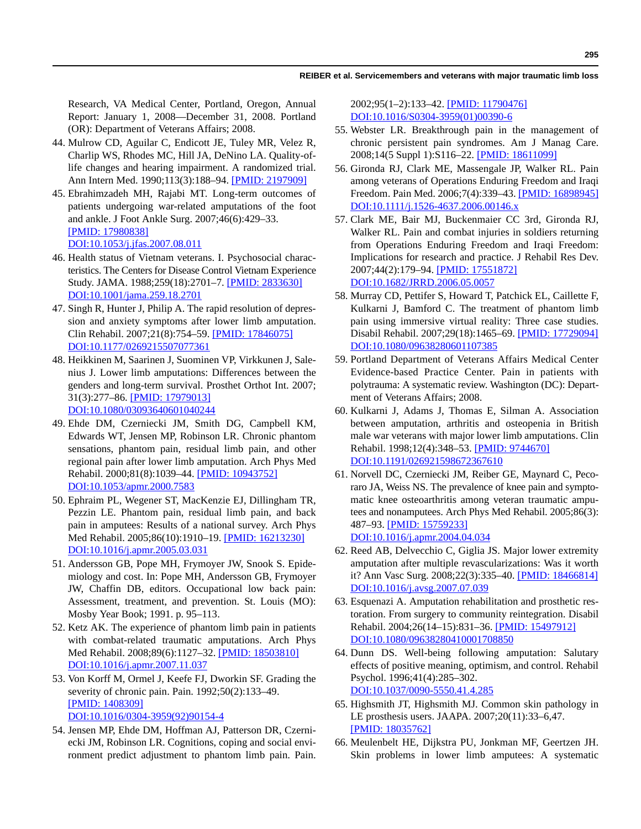Research, VA Medical Center, Portland, Oregon, Annual Report: January 1, 2008—December 31, 2008. Portland (OR): Department of Veterans Affairs; 2008.

- 44. Mulrow CD, Aguilar C, Endicott JE, Tuley MR, Velez R, Charlip WS, Rhodes MC, Hill JA, DeNino LA. Quality-oflife changes and hearing impairment. A randomized trial. Ann Intern Med. 1990;113(3):188–94. [\[PMID: 2197909\]](http://www.ncbi.nlm.nih.gov/pubmed/2197909)
- 45. Ebrahimzadeh MH, Rajabi MT. Long-term outcomes of patients undergoing war-related amputations of the foot and ankle. J Foot Ankle Surg. 2007;46(6):429–33. [\[PMID: 17980838\]](http://www.ncbi.nlm.nih.gov/pubmed/17980838) [DOI:10.1053/j.jfas.2007.08.011](http://dx.doi.org/10.1053/j.jfas.2007.08.011)
- 46. Health status of Vietnam veterans. I. Psychosocial characteristics. The Centers for Disease Control Vietnam Experience Study. JAMA. 1988;259(18):2701–7. [\[PMID: 2833630\]](http://www.ncbi.nlm.nih.gov/pubmed/2833630) [D](http://www.ncbi.nlm.nih.gov/pubmed/2833630)[OI:10.1001/jama.259.18.2701](http://dx.doi.org/10.1001/jama.259.18.2701)
- 47. Singh R, Hunter J, Philip A. The rapid resolution of depression and anxiety symptoms after lower limb amputation. Clin Rehabil. 2007;21(8):754–59. [\[PMID: 17846075\]](http://www.ncbi.nlm.nih.gov/pubmed/17846075) [D](http://www.ncbi.nlm.nih.gov/pubmed/17846075)[OI:10.1177/0269215507077361](http://dx.doi.org/10.1177/0269215507077361)
- 48. Heikkinen M, Saarinen J, Suominen VP, Virkkunen J, Salenius J. Lower limb amputations: Differences between the genders and long-term survival. Prosthet Orthot Int. 2007; 31(3):277–86. [\[PMID: 17979013\]](http://www.ncbi.nlm.nih.gov/pubmed/17979013) [DOI:10.1080/03093640601040244](http://dx.doi.org/10.1080/03093640601040244)
- 49. Ehde DM, Czerniecki JM, Smith DG, Campbell KM, Edwards WT, Jensen MP, Robinson LR. Chronic phantom sensations, phantom pain, residual limb pain, and other regional pain after lower limb amputation. Arch Phys Med Rehabil. 2000;81(8):1039–44. [\[PMID: 10943752\]](http://www.ncbi.nlm.nih.gov/pubmed/10943752) [D](http://www.ncbi.nlm.nih.gov/pubmed/10943752)[OI:10.1053/apmr.2000.7583](http://dx.doi.org/10.1053/apmr.2000.7583)
- 50. Ephraim PL, Wegener ST, MacKenzie EJ, Dillingham TR, Pezzin LE. Phantom pain, residual limb pain, and back pain in amputees: Results of a national survey. Arch Phys Med Rehabil. 2005;86(10):1910–19. [\[PMID: 16213230\]](http://www.ncbi.nlm.nih.gov/pubmed/16213230) [D](http://www.ncbi.nlm.nih.gov/pubmed/16213230)[OI:10.1016/j.apmr.2005.03.031](http://dx.doi.org/10.1016/j.apmr.2005.03.031)
- 51. Andersson GB, Pope MH, Frymoyer JW, Snook S. Epidemiology and cost. In: Pope MH, Andersson GB, Frymoyer JW, Chaffin DB, editors. Occupational low back pain: Assessment, treatment, and prevention. St. Louis (MO): Mosby Year Book; 1991. p. 95–113.
- 52. Ketz AK. The experience of phantom limb pain in patients with combat-related traumatic amputations. Arch Phys Med Rehabil. 2008;89(6):1127–32. [\[PMID: 18503810\]](http://www.ncbi.nlm.nih.gov/pubmed/18503810) [D](http://www.ncbi.nlm.nih.gov/pubmed/18503810)[OI:10.1016/j.apmr.2007.11.037](http://dx.doi.org/10.1016/j.apmr.2007.11.037)
- 53. Von Korff M, Ormel J, Keefe FJ, Dworkin SF. Grading the severity of chronic pain. Pain. 1992;50(2):133–49. [\[PMID: 1408309\]](http://www.ncbi.nlm.nih.gov/pubmed/1408309) [DOI:10.1016/0304-3959\(92\)90154-4](http://dx.doi.org/10.1016/0304-3959%2892%2990154-4)
- 54. Jensen MP, Ehde DM, Hoffman AJ, Patterson DR, Czerniecki JM, Robinson LR. Cognitions, coping and social environment predict adjustment to phantom limb pain. Pain.

2002;95(1–2):133–42. [\[PMID: 11790476\]](http://www.ncbi.nlm.nih.gov/pubmed/11790476) [DOI:10.1016/S0304-3959\(01\)00390-6](http://dx.doi.org/10.1016/S0304-3959%2801%2900390-6)

- 55. Webster LR. Breakthrough pain in the management of chronic persistent pain syndromes. Am J Manag Care. 2008;14(5 Suppl 1):S116–22. [\[PMID: 18611099\]](http://www.ncbi.nlm.nih.gov/pubmed/18611099)
- 56. Gironda RJ, Clark ME, Massengale JP, Walker RL. Pain among veterans of Operations Enduring Freedom and Iraqi Freedom. Pain Med. 2006;7(4):339–43. [\[PMID: 16898945\]](http://www.ncbi.nlm.nih.gov/pubmed/16898945) [D](http://www.ncbi.nlm.nih.gov/pubmed/16898945)[OI:10.1111/j.1526-4637.2006.00146.x](http://dx.doi.org/10.1111/j.1526-4637.2006.00146.x)
- 57. Clark ME, Bair MJ, Buckenmaier CC 3rd, Gironda RJ, Walker RL. Pain and combat injuries in soldiers returning from Operations Enduring Freedom and Iraqi Freedom: Implications for research and practice. J Rehabil Res Dev. 2007;44(2):179–94. [\[PMID: 17551872\]](http://www.ncbi.nlm.nih.gov/pubmed/17551872) [DOI:10.1682/JRRD.2006.05.0057](http://dx.doi.org/10.1682/JRRD.2006.05.0057)
- 58. Murray CD, Pettifer S, Howard T, Patchick EL, Caillette F, Kulkarni J, Bamford C. The treatment of phantom limb pain using immersive virtual reality: Three case studies. Disabil Rehabil. 2007;29(18):1465–69. [\[PMID: 17729094\]](http://www.ncbi.nlm.nih.gov/pubmed/17729094) [D](http://www.ncbi.nlm.nih.gov/pubmed/17729094)[OI:10.1080/09638280601107385](http://dx.doi.org/10.1080/09638280601107385)
- 59. Portland Department of Veterans Affairs Medical Center Evidence-based Practice Center. Pain in patients with polytrauma: A systematic review. Washington (DC): Department of Veterans Affairs; 2008.
- 60. Kulkarni J, Adams J, Thomas E, Silman A. Association between amputation, arthritis and osteopenia in British male war veterans with major lower limb amputations. Clin Rehabil. 1998;12(4):348–53. [\[PMID: 9744670\]](http://www.ncbi.nlm.nih.gov/pubmed/9744670) [D](http://www.ncbi.nlm.nih.gov/pubmed/9744670)[OI:10.1191/026921598672367610](http://dx.doi.org/10.1191/026921598672367610)
- 61. Norvell DC, Czerniecki JM, Reiber GE, Maynard C, Pecoraro JA, Weiss NS. The prevalence of knee pain and symptomatic knee osteoarthritis among veteran traumatic amputees and nonamputees. Arch Phys Med Rehabil. 2005;86(3): 487–93. [\[PMID: 15759233\]](http://www.ncbi.nlm.nih.gov/pubmed/15759233)

[DOI:10.1016/j.apmr.2004.04.034](http://dx.doi.org/10.1016/j.apmr.2004.04.034)

- 62. Reed AB, Delvecchio C, Giglia JS. Major lower extremity amputation after multiple revascularizations: Was it worth it? Ann Vasc Surg. 2008;22(3):335–40. [\[PMID: 18466814\]](http://www.ncbi.nlm.nih.gov/pubmed/18466814) [D](http://www.ncbi.nlm.nih.gov/pubmed/18466814)[OI:10.1016/j.avsg.2007.07.039](http://dx.doi.org/10.1016/j.avsg.2007.07.039)
- 63. Esquenazi A. Amputation rehabilitation and prosthetic restoration. From surgery to community reintegration. Disabil Rehabil. 2004;26(14–15):831–36. [\[PMID: 15497912\]](http://www.ncbi.nlm.nih.gov/pubmed/15497912) [D](http://www.ncbi.nlm.nih.gov/pubmed/15497912)[OI:10.1080/09638280410001708850](http://dx.doi.org/10.1080/09638280410001708850)
- 64. Dunn DS. Well-being following amputation: Salutary effects of positive meaning, optimism, and control. Rehabil Psychol. 1996;41(4):285–302. [DOI:10.1037/0090-5550.41.4.285](http://dx.doi.org/10.1037/0090-5550.41.4.285)
- 65. Highsmith JT, Highsmith MJ. Common skin pathology in LE prosthesis users. JAAPA. 2007;20(11):33–6,47. [\[PMID: 18035762\]](http://www.ncbi.nlm.nih.gov/pubmed/18035762)
- 66. Meulenbelt HE, Dijkstra PU, Jonkman MF, Geertzen JH. Skin problems in lower limb amputees: A systematic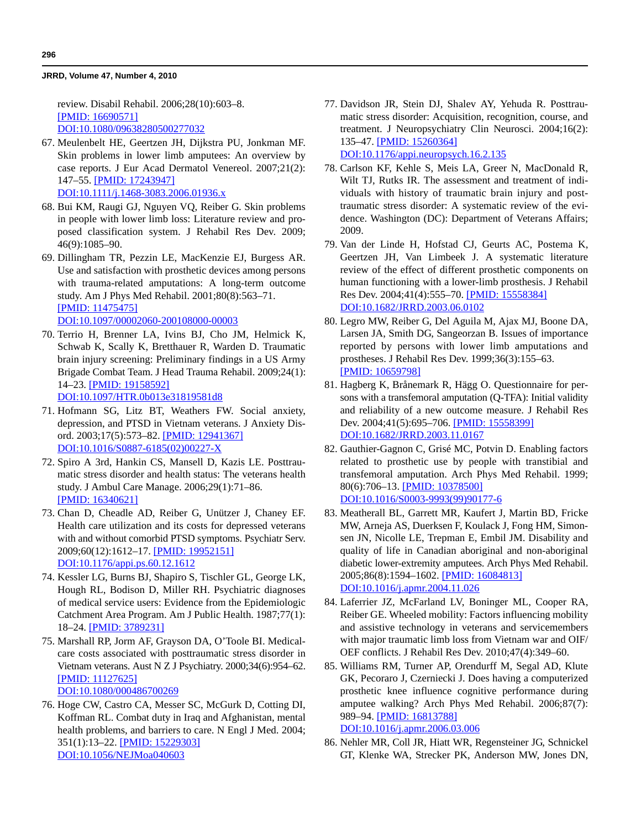review. Disabil Rehabil. 2006;28(10):603–8. [\[PMID: 16690571\]](http://www.ncbi.nlm.nih.gov/pubmed/16690571) [DOI:10.1080/09638280500277032](http://dx.doi.org/10.1080/09638280500277032)

- 67. Meulenbelt HE, Geertzen JH, Dijkstra PU, Jonkman MF. Skin problems in lower limb amputees: An overview by case reports. J Eur Acad Dermatol Venereol. 2007;21(2): 147–55. [\[PMID: 17243947\]](http://www.ncbi.nlm.nih.gov/pubmed/17243947) [DOI:10.1111/j.1468-3083.2006.01936.x](http://dx.doi.org/10.1111/j.1468-3083.2006.01936.x)
- 68. Bui KM, Raugi GJ, Nguyen VQ, Reiber G. Skin problems in people with lower limb loss: Literature review and proposed classification system. J Rehabil Res Dev. 2009; 46(9):1085–90.
- 69. Dillingham TR, Pezzin LE, MacKenzie EJ, Burgess AR. Use and satisfaction with prosthetic devices among persons with trauma-related amputations: A long-term outcome study. Am J Phys Med Rehabil. 2001;80(8):563–71. [\[PMID: 11475475\]](http://www.ncbi.nlm.nih.gov/pubmed/11475475) [DOI:10.1097/00002060-200108000-00003](http://dx.doi.org/10.1097/00002060-200108000-00003)
- 70. Terrio H, Brenner LA, Ivins BJ, Cho JM, Helmick K, Schwab K, Scally K, Bretthauer R, Warden D. Traumatic brain injury screening: Preliminary findings in a US Army Brigade Combat Team. J Head Trauma Rehabil. 2009;24(1): 14–23. [\[PMID: 19158592\]](http://www.ncbi.nlm.nih.gov/pubmed/19158592)

[DOI:10.1097/HTR.0b013e31819581d8](http://dx.doi.org/10.1097/HTR.0b013e31819581d8)

- 71. Hofmann SG, Litz BT, Weathers FW. Social anxiety, depression, and PTSD in Vietnam veterans. J Anxiety Disord. 2003;17(5):573–82. [\[PMID: 12941367\]](http://www.ncbi.nlm.nih.gov/pubmed/12941367) [DOI:10.1016/S0887-6185\(02\)00227-X](http://dx.doi.org/10.1016/S0887-6185%2802%2900227-X)
- 72. Spiro A 3rd, Hankin CS, Mansell D, Kazis LE. Posttraumatic stress disorder and health status: The veterans health study. J Ambul Care Manage. 2006;29(1):71–86. [\[PMID: 16340621\]](http://www.ncbi.nlm.nih.gov/pubmed/16340621)
- 73. Chan D, Cheadle AD, Reiber G, Unützer J, Chaney EF. Health care utilization and its costs for depressed veterans with and without comorbid PTSD symptoms. Psychiatr Serv. 2009;60(12):1612-17. [\[PMID: 19952151\]](http://www.ncbi.nlm.nih.gov/pubmed/19952151) [D](http://www.ncbi.nlm.nih.gov/pubmed/19952151)[OI:10.1176/appi.ps.60.12.1612](http://dx.doi.org/10.1176/appi.ps.60.12.1612)
- 74. Kessler LG , Burns BJ, Shapiro S, Tischler GL, George LK, Hough RL, Bodison D, Miller RH. Psychiatric diagnoses of medical service users: Evidence from the Epidemiologic Catchment Area Program. Am J Public Health. 1987;77(1): 18–24. [\[PMID: 3789231\]](http://www.ncbi.nlm.nih.gov/pubmed/3789231)
- 75. Marshall RP, Jorm AF, Grayson DA, O'Toole BI. Medicalcare costs associated with posttraumatic stress disorder in Vietnam veterans. Aust N Z J Psychiatry. 2000;34(6):954–62. [\[PMID: 11127625\]](http://www.ncbi.nlm.nih.gov/pubmed/11127625) [DOI:10.1080/000486700269](http://dx.doi.org/10.1080/000486700269)
- 76. Hoge CW, Castro CA, Messer SC, McGurk D, Cotting DI, Koffman RL. Combat duty in Iraq and Afghanistan, mental health problems, and barriers to care. N Engl J Med. 2004; 351(1):13–22. [\[PMID: 15229303\]](http://www.ncbi.nlm.nih.gov/pubmed/15229303) [DOI:10.1056/NEJMoa040603](http://dx.doi.org/10.1056/NEJMoa040603)
- 77. Davidson JR, Stein DJ, Shalev AY, Yehuda R. Posttraumatic stress disorder: Acquisition, recognition, course, and treatment. J Neuropsychiatry Clin Neurosci. 2004;16(2): 135–47. [\[PMID: 15260364\]](http://www.ncbi.nlm.nih.gov/pubmed/15260364) [DOI:10.1176/appi.neuropsych.16.2.135](http://dx.doi.org/10.1176/appi.neuropsych.16.2.135)
- 78. Carlson KF, Kehle S, Meis LA, Greer N, MacDonald R, Wilt TJ, Rutks IR. The assessment and treatment of individuals with history of traumatic brain injury and posttraumatic stress disorder: A systematic review of the evidence. Washington (DC): Department of Veterans Affairs; 2009.
- 79. Van der Linde H, Hofstad CJ, Geurts AC, Postema K, Geertzen JH, Van Limbeek J. A systematic literature review of the effect of different prosthetic components on human functioning with a lower-limb prosthesis. J Rehabil Res Dev. 2004;41(4):555–70. [\[PMID: 15558384\]](http://www.ncbi.nlm.nih.gov/pubmed/15558384) [D](http://www.ncbi.nlm.nih.gov/pubmed/15558384)[OI:10.1682/JRRD.2003.06.0102](http://dx.doi.org/10.1682/JRRD.2003.06.0102)
- 80. Legro MW, Reiber G, Del Aguila M, Ajax MJ, Boone DA, Larsen JA, Smith DG, Sangeorzan B. Issues of importance reported by persons with lower limb amputations and prostheses. J Rehabil Res Dev. 1999;36(3):155–63. [\[PMID: 10659798\]](http://www.ncbi.nlm.nih.gov/pubmed/10659798)
- 81. Hagberg K, Brånemark R, Hägg O. Questionnaire for persons with a transfemoral amputation (Q-TFA): Initial validity and reliability of a new outcome measure. J Rehabil Res Dev. 2004;41(5):695–706. [\[PMID: 15558399\]](http://www.ncbi.nlm.nih.gov/pubmed/15558399) [D](http://www.ncbi.nlm.nih.gov/pubmed/15558399)[OI:10.1682/JRRD.2003.11.0167](http://dx.doi.org/10.1682/JRRD.2003.11.0167)
- 82. Gauthier-Gagnon C, Grisé MC, Potvin D. Enabling factors related to prosthetic use by people with transtibial and transfemoral amputation. Arch Phys Med Rehabil. 1999; 80(6):706–13. [\[PMID: 10378500\]](http://www.ncbi.nlm.nih.gov/pubmed/10378500) [DOI:10.1016/S0003-9993\(99\)90177-6](http://dx.doi.org/10.1016/S0003-9993%2899%2990177-6)
- 83. Meatherall BL, Garrett MR, Kaufert J, Martin BD, Fricke MW, Arneja AS, Duerksen F, Koulack J, Fong HM, Simonsen JN, Nicolle LE, Trepman E, Embil JM. Disability and quality of life in Canadian aboriginal and non-aboriginal diabetic lower-extremity amputees. Arch Phys Med Rehabil. 2005;86(8):1594–1602. [\[PMID: 16084813\]](http://www.ncbi.nlm.nih.gov/pubmed/16084813) [D](http://www.ncbi.nlm.nih.gov/pubmed/16084813)[OI:10.1016/j.apmr.2004.11.026](http://dx.doi.org/10.1016/j.apmr.2004.11.026)
- 84. Laferrier JZ, McFarland LV, Boninger ML, Cooper RA, Reiber GE. Wheeled mobility: Factors influencing mobility and assistive technology in veterans and servicemembers with major traumatic limb loss from Vietnam war and OIF/ OEF conflicts. J Rehabil Res Dev. 2010;47(4):349–60.
- 85. Williams RM, Turner AP, Orendurff M, Segal AD, Klute GK, Pecoraro J, Czerniecki J. Does having a computerized prosthetic knee influence cognitive performance during amputee walking? Arch Phys Med Rehabil. 2006;87(7): 989–94. [\[PMID: 16813788\]](http://www.ncbi.nlm.nih.gov/pubmed/16813788) [DOI:10.1016/j.apmr.2006.03.006](http://dx.doi.org/10.1016/j.apmr.2006.03.006)
- 86. Nehler MR, Coll JR, Hiatt WR, Regensteiner JG , Schnickel GT, Klenke WA, Strecker PK, Anderson MW, Jones DN,